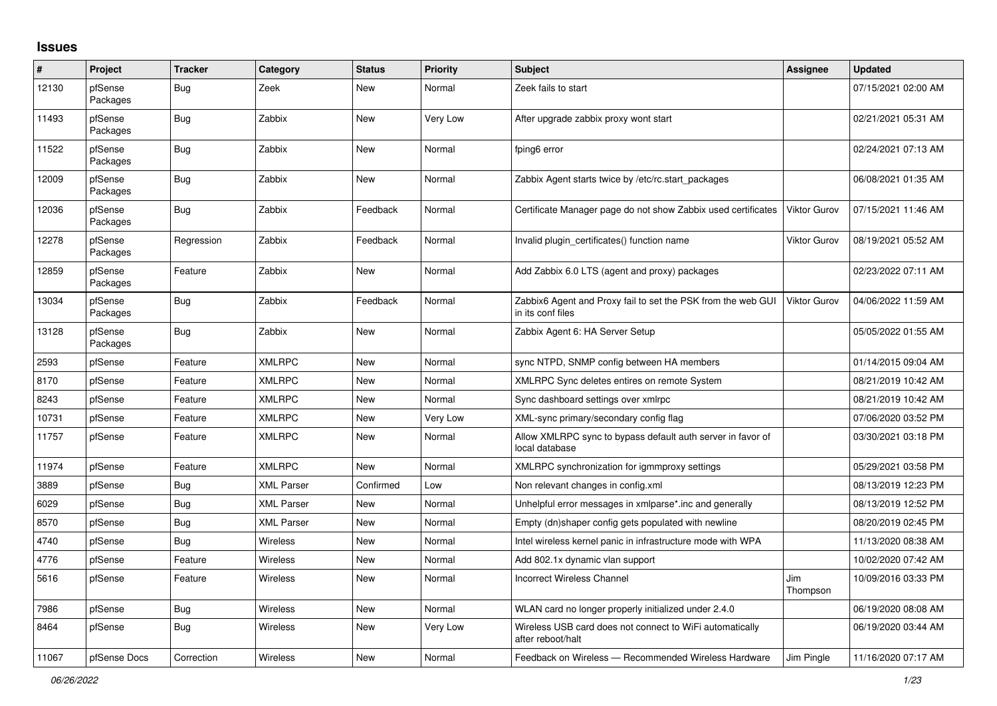## **Issues**

| #     | Project             | <b>Tracker</b> | Category          | <b>Status</b> | <b>Priority</b> | <b>Subject</b>                                                                    | Assignee            | <b>Updated</b>      |
|-------|---------------------|----------------|-------------------|---------------|-----------------|-----------------------------------------------------------------------------------|---------------------|---------------------|
| 12130 | pfSense<br>Packages | Bug            | Zeek              | New           | Normal          | Zeek fails to start                                                               |                     | 07/15/2021 02:00 AM |
| 11493 | pfSense<br>Packages | Bug            | Zabbix            | <b>New</b>    | Very Low        | After upgrade zabbix proxy wont start                                             |                     | 02/21/2021 05:31 AM |
| 11522 | pfSense<br>Packages | Bug            | Zabbix            | <b>New</b>    | Normal          | fping6 error                                                                      |                     | 02/24/2021 07:13 AM |
| 12009 | pfSense<br>Packages | Bug            | Zabbix            | <b>New</b>    | Normal          | Zabbix Agent starts twice by /etc/rc.start packages                               |                     | 06/08/2021 01:35 AM |
| 12036 | pfSense<br>Packages | <b>Bug</b>     | Zabbix            | Feedback      | Normal          | Certificate Manager page do not show Zabbix used certificates                     | <b>Viktor Gurov</b> | 07/15/2021 11:46 AM |
| 12278 | pfSense<br>Packages | Regression     | Zabbix            | Feedback      | Normal          | Invalid plugin_certificates() function name                                       | <b>Viktor Gurov</b> | 08/19/2021 05:52 AM |
| 12859 | pfSense<br>Packages | Feature        | Zabbix            | <b>New</b>    | Normal          | Add Zabbix 6.0 LTS (agent and proxy) packages                                     |                     | 02/23/2022 07:11 AM |
| 13034 | pfSense<br>Packages | <b>Bug</b>     | Zabbix            | Feedback      | Normal          | Zabbix6 Agent and Proxy fail to set the PSK from the web GUI<br>in its conf files | <b>Viktor Gurov</b> | 04/06/2022 11:59 AM |
| 13128 | pfSense<br>Packages | <b>Bug</b>     | Zabbix            | New           | Normal          | Zabbix Agent 6: HA Server Setup                                                   |                     | 05/05/2022 01:55 AM |
| 2593  | pfSense             | Feature        | <b>XMLRPC</b>     | New           | Normal          | sync NTPD, SNMP config between HA members                                         |                     | 01/14/2015 09:04 AM |
| 8170  | pfSense             | Feature        | <b>XMLRPC</b>     | New           | Normal          | XMLRPC Sync deletes entires on remote System                                      |                     | 08/21/2019 10:42 AM |
| 8243  | pfSense             | Feature        | <b>XMLRPC</b>     | <b>New</b>    | Normal          | Sync dashboard settings over xmlrpc                                               |                     | 08/21/2019 10:42 AM |
| 10731 | pfSense             | Feature        | <b>XMLRPC</b>     | <b>New</b>    | Very Low        | XML-sync primary/secondary config flag                                            |                     | 07/06/2020 03:52 PM |
| 11757 | pfSense             | Feature        | <b>XMLRPC</b>     | <b>New</b>    | Normal          | Allow XMLRPC sync to bypass default auth server in favor of<br>local database     |                     | 03/30/2021 03:18 PM |
| 11974 | pfSense             | Feature        | <b>XMLRPC</b>     | New           | Normal          | XMLRPC synchronization for igmmproxy settings                                     |                     | 05/29/2021 03:58 PM |
| 3889  | pfSense             | Bug            | <b>XML Parser</b> | Confirmed     | Low             | Non relevant changes in config.xml                                                |                     | 08/13/2019 12:23 PM |
| 6029  | pfSense             | <b>Bug</b>     | <b>XML Parser</b> | <b>New</b>    | Normal          | Unhelpful error messages in xmlparse*.inc and generally                           |                     | 08/13/2019 12:52 PM |
| 8570  | pfSense             | <b>Bug</b>     | <b>XML Parser</b> | <b>New</b>    | Normal          | Empty (dn)shaper config gets populated with newline                               |                     | 08/20/2019 02:45 PM |
| 4740  | pfSense             | Bug            | <b>Wireless</b>   | <b>New</b>    | Normal          | Intel wireless kernel panic in infrastructure mode with WPA                       |                     | 11/13/2020 08:38 AM |
| 4776  | pfSense             | Feature        | Wireless          | <b>New</b>    | Normal          | Add 802.1x dynamic vlan support                                                   |                     | 10/02/2020 07:42 AM |
| 5616  | pfSense             | Feature        | <b>Wireless</b>   | <b>New</b>    | Normal          | <b>Incorrect Wireless Channel</b>                                                 | Jim<br>Thompson     | 10/09/2016 03:33 PM |
| 7986  | pfSense             | <b>Bug</b>     | Wireless          | <b>New</b>    | Normal          | WLAN card no longer properly initialized under 2.4.0                              |                     | 06/19/2020 08:08 AM |
| 8464  | pfSense             | Bug            | Wireless          | <b>New</b>    | Very Low        | Wireless USB card does not connect to WiFi automatically<br>after reboot/halt     |                     | 06/19/2020 03:44 AM |
| 11067 | pfSense Docs        | Correction     | Wireless          | <b>New</b>    | Normal          | Feedback on Wireless - Recommended Wireless Hardware                              | Jim Pingle          | 11/16/2020 07:17 AM |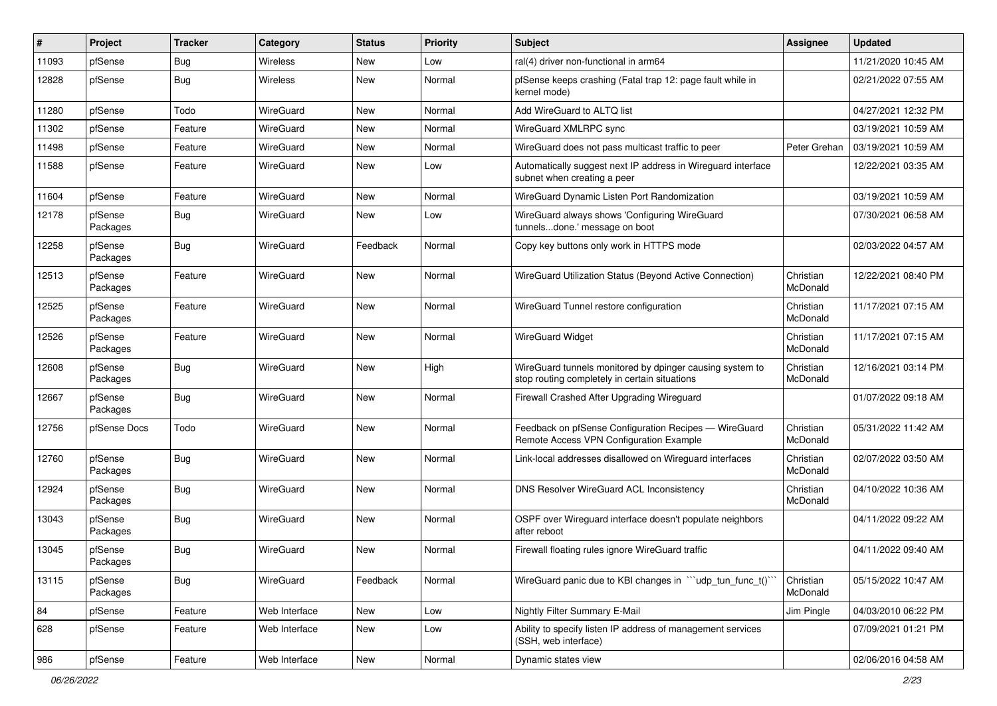| #     | Project             | <b>Tracker</b> | Category         | <b>Status</b> | <b>Priority</b> | Subject                                                                                                   | <b>Assignee</b>       | <b>Updated</b>      |
|-------|---------------------|----------------|------------------|---------------|-----------------|-----------------------------------------------------------------------------------------------------------|-----------------------|---------------------|
| 11093 | pfSense             | <b>Bug</b>     | Wireless         | <b>New</b>    | Low             | ral(4) driver non-functional in arm64                                                                     |                       | 11/21/2020 10:45 AM |
| 12828 | pfSense             | Bug            | <b>Wireless</b>  | <b>New</b>    | Normal          | pfSense keeps crashing (Fatal trap 12: page fault while in<br>kernel mode)                                |                       | 02/21/2022 07:55 AM |
| 11280 | pfSense             | Todo           | <b>WireGuard</b> | New           | Normal          | Add WireGuard to ALTQ list                                                                                |                       | 04/27/2021 12:32 PM |
| 11302 | pfSense             | Feature        | WireGuard        | <b>New</b>    | Normal          | WireGuard XMLRPC sync                                                                                     |                       | 03/19/2021 10:59 AM |
| 11498 | pfSense             | Feature        | WireGuard        | New           | Normal          | WireGuard does not pass multicast traffic to peer                                                         | Peter Grehan          | 03/19/2021 10:59 AM |
| 11588 | pfSense             | Feature        | WireGuard        | <b>New</b>    | Low             | Automatically suggest next IP address in Wireguard interface<br>subnet when creating a peer               |                       | 12/22/2021 03:35 AM |
| 11604 | pfSense             | Feature        | WireGuard        | <b>New</b>    | Normal          | WireGuard Dynamic Listen Port Randomization                                                               |                       | 03/19/2021 10:59 AM |
| 12178 | pfSense<br>Packages | <b>Bug</b>     | WireGuard        | <b>New</b>    | Low             | WireGuard always shows 'Configuring WireGuard<br>tunnelsdone.' message on boot                            |                       | 07/30/2021 06:58 AM |
| 12258 | pfSense<br>Packages | <b>Bug</b>     | WireGuard        | Feedback      | Normal          | Copy key buttons only work in HTTPS mode                                                                  |                       | 02/03/2022 04:57 AM |
| 12513 | pfSense<br>Packages | Feature        | WireGuard        | New           | Normal          | WireGuard Utilization Status (Beyond Active Connection)                                                   | Christian<br>McDonald | 12/22/2021 08:40 PM |
| 12525 | pfSense<br>Packages | Feature        | <b>WireGuard</b> | <b>New</b>    | Normal          | WireGuard Tunnel restore configuration                                                                    | Christian<br>McDonald | 11/17/2021 07:15 AM |
| 12526 | pfSense<br>Packages | Feature        | WireGuard        | <b>New</b>    | Normal          | <b>WireGuard Widget</b>                                                                                   | Christian<br>McDonald | 11/17/2021 07:15 AM |
| 12608 | pfSense<br>Packages | Bug            | WireGuard        | <b>New</b>    | High            | WireGuard tunnels monitored by dpinger causing system to<br>stop routing completely in certain situations | Christian<br>McDonald | 12/16/2021 03:14 PM |
| 12667 | pfSense<br>Packages | Bug            | WireGuard        | <b>New</b>    | Normal          | Firewall Crashed After Upgrading Wireguard                                                                |                       | 01/07/2022 09:18 AM |
| 12756 | pfSense Docs        | Todo           | WireGuard        | <b>New</b>    | Normal          | Feedback on pfSense Configuration Recipes - WireGuard<br>Remote Access VPN Configuration Example          | Christian<br>McDonald | 05/31/2022 11:42 AM |
| 12760 | pfSense<br>Packages | <b>Bug</b>     | WireGuard        | <b>New</b>    | Normal          | Link-local addresses disallowed on Wireguard interfaces                                                   | Christian<br>McDonald | 02/07/2022 03:50 AM |
| 12924 | pfSense<br>Packages | <b>Bug</b>     | WireGuard        | <b>New</b>    | Normal          | DNS Resolver WireGuard ACL Inconsistency                                                                  | Christian<br>McDonald | 04/10/2022 10:36 AM |
| 13043 | pfSense<br>Packages | <b>Bug</b>     | WireGuard        | <b>New</b>    | Normal          | OSPF over Wireguard interface doesn't populate neighbors<br>after reboot                                  |                       | 04/11/2022 09:22 AM |
| 13045 | pfSense<br>Packages | <b>Bug</b>     | <b>WireGuard</b> | <b>New</b>    | Normal          | Firewall floating rules ignore WireGuard traffic                                                          |                       | 04/11/2022 09:40 AM |
| 13115 | pfSense<br>Packages | Bug            | WireGuard        | Feedback      | Normal          | WireGuard panic due to KBI changes in "'udp_tun_func_t()'                                                 | Christian<br>McDonald | 05/15/2022 10:47 AM |
| 84    | pfSense             | Feature        | Web Interface    | New           | Low             | Nightly Filter Summary E-Mail                                                                             | Jim Pingle            | 04/03/2010 06:22 PM |
| 628   | pfSense             | Feature        | Web Interface    | New           | Low             | Ability to specify listen IP address of management services<br>(SSH, web interface)                       |                       | 07/09/2021 01:21 PM |
| 986   | pfSense             | Feature        | Web Interface    | New           | Normal          | Dynamic states view                                                                                       |                       | 02/06/2016 04:58 AM |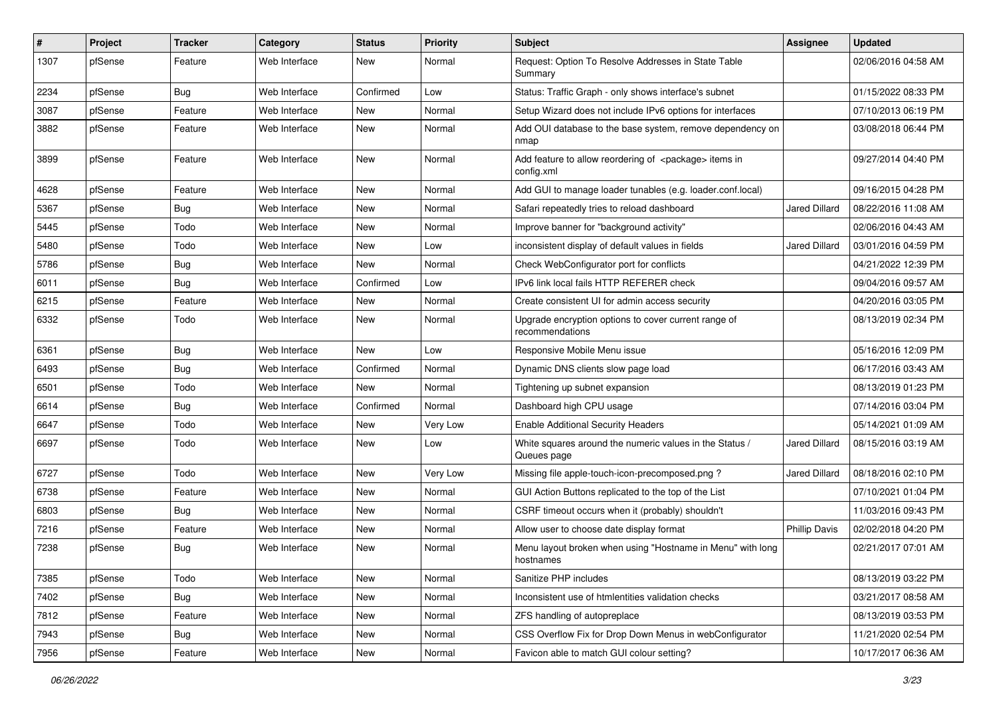| $\pmb{\#}$ | Project | <b>Tracker</b> | Category      | <b>Status</b> | <b>Priority</b> | <b>Subject</b>                                                                 | <b>Assignee</b>      | <b>Updated</b>      |
|------------|---------|----------------|---------------|---------------|-----------------|--------------------------------------------------------------------------------|----------------------|---------------------|
| 1307       | pfSense | Feature        | Web Interface | New           | Normal          | Request: Option To Resolve Addresses in State Table<br>Summary                 |                      | 02/06/2016 04:58 AM |
| 2234       | pfSense | Bug            | Web Interface | Confirmed     | Low             | Status: Traffic Graph - only shows interface's subnet                          |                      | 01/15/2022 08:33 PM |
| 3087       | pfSense | Feature        | Web Interface | New           | Normal          | Setup Wizard does not include IPv6 options for interfaces                      |                      | 07/10/2013 06:19 PM |
| 3882       | pfSense | Feature        | Web Interface | New           | Normal          | Add OUI database to the base system, remove dependency on<br>nmap              |                      | 03/08/2018 06:44 PM |
| 3899       | pfSense | Feature        | Web Interface | <b>New</b>    | Normal          | Add feature to allow reordering of <package> items in<br/>config.xml</package> |                      | 09/27/2014 04:40 PM |
| 4628       | pfSense | Feature        | Web Interface | <b>New</b>    | Normal          | Add GUI to manage loader tunables (e.g. loader.conf.local)                     |                      | 09/16/2015 04:28 PM |
| 5367       | pfSense | Bug            | Web Interface | New           | Normal          | Safari repeatedly tries to reload dashboard                                    | Jared Dillard        | 08/22/2016 11:08 AM |
| 5445       | pfSense | Todo           | Web Interface | New           | Normal          | Improve banner for "background activity"                                       |                      | 02/06/2016 04:43 AM |
| 5480       | pfSense | Todo           | Web Interface | <b>New</b>    | Low             | inconsistent display of default values in fields                               | Jared Dillard        | 03/01/2016 04:59 PM |
| 5786       | pfSense | Bug            | Web Interface | New           | Normal          | Check WebConfigurator port for conflicts                                       |                      | 04/21/2022 12:39 PM |
| 6011       | pfSense | Bug            | Web Interface | Confirmed     | Low             | IPv6 link local fails HTTP REFERER check                                       |                      | 09/04/2016 09:57 AM |
| 6215       | pfSense | Feature        | Web Interface | New           | Normal          | Create consistent UI for admin access security                                 |                      | 04/20/2016 03:05 PM |
| 6332       | pfSense | Todo           | Web Interface | New           | Normal          | Upgrade encryption options to cover current range of<br>recommendations        |                      | 08/13/2019 02:34 PM |
| 6361       | pfSense | Bug            | Web Interface | <b>New</b>    | Low             | Responsive Mobile Menu issue                                                   |                      | 05/16/2016 12:09 PM |
| 6493       | pfSense | Bug            | Web Interface | Confirmed     | Normal          | Dynamic DNS clients slow page load                                             |                      | 06/17/2016 03:43 AM |
| 6501       | pfSense | Todo           | Web Interface | New           | Normal          | Tightening up subnet expansion                                                 |                      | 08/13/2019 01:23 PM |
| 6614       | pfSense | Bug            | Web Interface | Confirmed     | Normal          | Dashboard high CPU usage                                                       |                      | 07/14/2016 03:04 PM |
| 6647       | pfSense | Todo           | Web Interface | New           | Very Low        | <b>Enable Additional Security Headers</b>                                      |                      | 05/14/2021 01:09 AM |
| 6697       | pfSense | Todo           | Web Interface | New           | Low             | White squares around the numeric values in the Status /<br>Queues page         | <b>Jared Dillard</b> | 08/15/2016 03:19 AM |
| 6727       | pfSense | Todo           | Web Interface | New           | Very Low        | Missing file apple-touch-icon-precomposed.png?                                 | Jared Dillard        | 08/18/2016 02:10 PM |
| 6738       | pfSense | Feature        | Web Interface | <b>New</b>    | Normal          | GUI Action Buttons replicated to the top of the List                           |                      | 07/10/2021 01:04 PM |
| 6803       | pfSense | Bug            | Web Interface | New           | Normal          | CSRF timeout occurs when it (probably) shouldn't                               |                      | 11/03/2016 09:43 PM |
| 7216       | pfSense | Feature        | Web Interface | New           | Normal          | Allow user to choose date display format                                       | <b>Phillip Davis</b> | 02/02/2018 04:20 PM |
| 7238       | pfSense | <b>Bug</b>     | Web Interface | New           | Normal          | Menu layout broken when using "Hostname in Menu" with long<br>hostnames        |                      | 02/21/2017 07:01 AM |
| 7385       | pfSense | Todo           | Web Interface | New           | Normal          | Sanitize PHP includes                                                          |                      | 08/13/2019 03:22 PM |
| 7402       | pfSense | Bug            | Web Interface | New           | Normal          | Inconsistent use of htmlentities validation checks                             |                      | 03/21/2017 08:58 AM |
| 7812       | pfSense | Feature        | Web Interface | New           | Normal          | ZFS handling of autopreplace                                                   |                      | 08/13/2019 03:53 PM |
| 7943       | pfSense | <b>Bug</b>     | Web Interface | New           | Normal          | CSS Overflow Fix for Drop Down Menus in webConfigurator                        |                      | 11/21/2020 02:54 PM |
| 7956       | pfSense | Feature        | Web Interface | New           | Normal          | Favicon able to match GUI colour setting?                                      |                      | 10/17/2017 06:36 AM |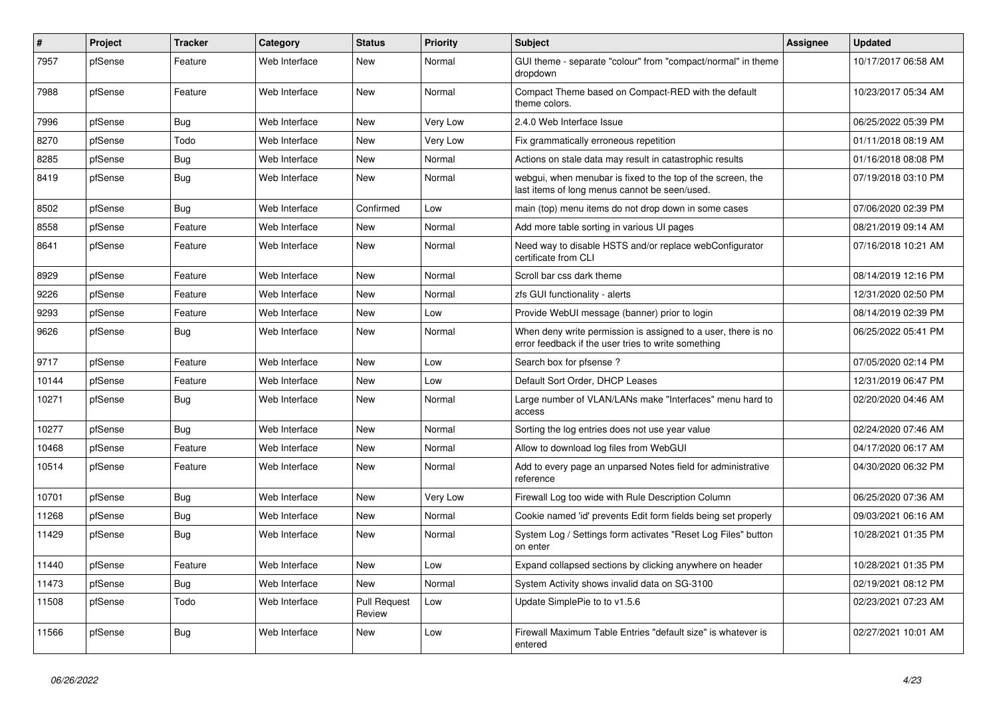| $\vert$ # | Project | <b>Tracker</b> | Category      | <b>Status</b>                 | <b>Priority</b> | <b>Subject</b>                                                                                                       | <b>Assignee</b> | <b>Updated</b>      |
|-----------|---------|----------------|---------------|-------------------------------|-----------------|----------------------------------------------------------------------------------------------------------------------|-----------------|---------------------|
| 7957      | pfSense | Feature        | Web Interface | New                           | Normal          | GUI theme - separate "colour" from "compact/normal" in theme<br>dropdown                                             |                 | 10/17/2017 06:58 AM |
| 7988      | pfSense | Feature        | Web Interface | <b>New</b>                    | Normal          | Compact Theme based on Compact-RED with the default<br>theme colors.                                                 |                 | 10/23/2017 05:34 AM |
| 7996      | pfSense | Bug            | Web Interface | <b>New</b>                    | Very Low        | 2.4.0 Web Interface Issue                                                                                            |                 | 06/25/2022 05:39 PM |
| 8270      | pfSense | Todo           | Web Interface | <b>New</b>                    | Very Low        | Fix grammatically erroneous repetition                                                                               |                 | 01/11/2018 08:19 AM |
| 8285      | pfSense | <b>Bug</b>     | Web Interface | <b>New</b>                    | Normal          | Actions on stale data may result in catastrophic results                                                             |                 | 01/16/2018 08:08 PM |
| 8419      | pfSense | Bug            | Web Interface | New                           | Normal          | webgui, when menubar is fixed to the top of the screen, the<br>last items of long menus cannot be seen/used.         |                 | 07/19/2018 03:10 PM |
| 8502      | pfSense | Bug            | Web Interface | Confirmed                     | Low             | main (top) menu items do not drop down in some cases                                                                 |                 | 07/06/2020 02:39 PM |
| 8558      | pfSense | Feature        | Web Interface | <b>New</b>                    | Normal          | Add more table sorting in various UI pages                                                                           |                 | 08/21/2019 09:14 AM |
| 8641      | pfSense | Feature        | Web Interface | <b>New</b>                    | Normal          | Need way to disable HSTS and/or replace webConfigurator<br>certificate from CLI                                      |                 | 07/16/2018 10:21 AM |
| 8929      | pfSense | Feature        | Web Interface | <b>New</b>                    | Normal          | Scroll bar css dark theme                                                                                            |                 | 08/14/2019 12:16 PM |
| 9226      | pfSense | Feature        | Web Interface | New                           | Normal          | zfs GUI functionality - alerts                                                                                       |                 | 12/31/2020 02:50 PM |
| 9293      | pfSense | Feature        | Web Interface | New                           | Low             | Provide WebUI message (banner) prior to login                                                                        |                 | 08/14/2019 02:39 PM |
| 9626      | pfSense | <b>Bug</b>     | Web Interface | <b>New</b>                    | Normal          | When deny write permission is assigned to a user, there is no<br>error feedback if the user tries to write something |                 | 06/25/2022 05:41 PM |
| 9717      | pfSense | Feature        | Web Interface | <b>New</b>                    | Low             | Search box for pfsense?                                                                                              |                 | 07/05/2020 02:14 PM |
| 10144     | pfSense | Feature        | Web Interface | <b>New</b>                    | Low             | Default Sort Order, DHCP Leases                                                                                      |                 | 12/31/2019 06:47 PM |
| 10271     | pfSense | <b>Bug</b>     | Web Interface | <b>New</b>                    | Normal          | Large number of VLAN/LANs make "Interfaces" menu hard to<br>access                                                   |                 | 02/20/2020 04:46 AM |
| 10277     | pfSense | Bug            | Web Interface | <b>New</b>                    | Normal          | Sorting the log entries does not use year value                                                                      |                 | 02/24/2020 07:46 AM |
| 10468     | pfSense | Feature        | Web Interface | <b>New</b>                    | Normal          | Allow to download log files from WebGUI                                                                              |                 | 04/17/2020 06:17 AM |
| 10514     | pfSense | Feature        | Web Interface | <b>New</b>                    | Normal          | Add to every page an unparsed Notes field for administrative<br>reference                                            |                 | 04/30/2020 06:32 PM |
| 10701     | pfSense | <b>Bug</b>     | Web Interface | <b>New</b>                    | Very Low        | Firewall Log too wide with Rule Description Column                                                                   |                 | 06/25/2020 07:36 AM |
| 11268     | pfSense | Bug            | Web Interface | <b>New</b>                    | Normal          | Cookie named 'id' prevents Edit form fields being set properly                                                       |                 | 09/03/2021 06:16 AM |
| 11429     | pfSense | Bug            | Web Interface | New                           | Normal          | System Log / Settings form activates "Reset Log Files" button<br>on enter                                            |                 | 10/28/2021 01:35 PM |
| 11440     | pfSense | Feature        | Web Interface | <b>New</b>                    | Low             | Expand collapsed sections by clicking anywhere on header                                                             |                 | 10/28/2021 01:35 PM |
| 11473     | pfSense | <b>Bug</b>     | Web Interface | <b>New</b>                    | Normal          | System Activity shows invalid data on SG-3100                                                                        |                 | 02/19/2021 08:12 PM |
| 11508     | pfSense | Todo           | Web Interface | <b>Pull Request</b><br>Review | Low             | Update SimplePie to to v1.5.6                                                                                        |                 | 02/23/2021 07:23 AM |
| 11566     | pfSense | Bug            | Web Interface | <b>New</b>                    | Low             | Firewall Maximum Table Entries "default size" is whatever is<br>entered                                              |                 | 02/27/2021 10:01 AM |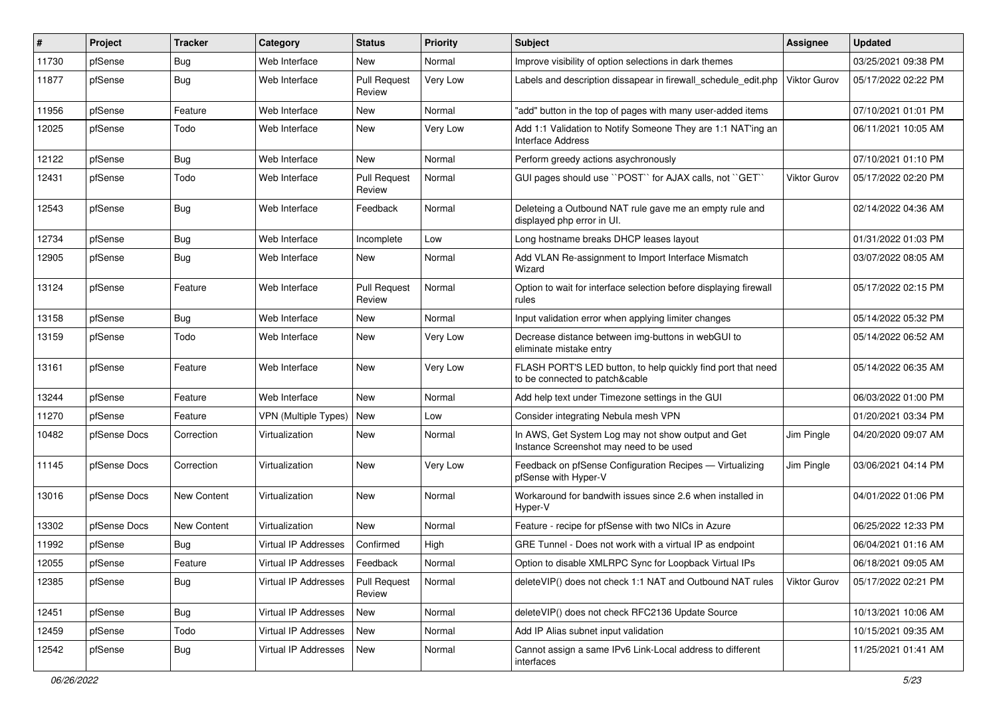| #     | Project      | <b>Tracker</b> | Category                    | <b>Status</b>                 | <b>Priority</b> | <b>Subject</b>                                                                                 | <b>Assignee</b>     | <b>Updated</b>      |
|-------|--------------|----------------|-----------------------------|-------------------------------|-----------------|------------------------------------------------------------------------------------------------|---------------------|---------------------|
| 11730 | pfSense      | <b>Bug</b>     | Web Interface               | New                           | Normal          | Improve visibility of option selections in dark themes                                         |                     | 03/25/2021 09:38 PM |
| 11877 | pfSense      | Bug            | Web Interface               | <b>Pull Request</b><br>Review | Very Low        | Labels and description dissapear in firewall schedule edit.php                                 | <b>Viktor Gurov</b> | 05/17/2022 02:22 PM |
| 11956 | pfSense      | Feature        | Web Interface               | New                           | Normal          | "add" button in the top of pages with many user-added items                                    |                     | 07/10/2021 01:01 PM |
| 12025 | pfSense      | Todo           | Web Interface               | New                           | Very Low        | Add 1:1 Validation to Notify Someone They are 1:1 NAT'ing an<br>Interface Address              |                     | 06/11/2021 10:05 AM |
| 12122 | pfSense      | Bug            | Web Interface               | New                           | Normal          | Perform greedy actions asychronously                                                           |                     | 07/10/2021 01:10 PM |
| 12431 | pfSense      | Todo           | Web Interface               | Pull Request<br>Review        | Normal          | GUI pages should use "POST" for AJAX calls, not "GET"                                          | Viktor Gurov        | 05/17/2022 02:20 PM |
| 12543 | pfSense      | Bug            | Web Interface               | Feedback                      | Normal          | Deleteing a Outbound NAT rule gave me an empty rule and<br>displayed php error in UI.          |                     | 02/14/2022 04:36 AM |
| 12734 | pfSense      | Bug            | Web Interface               | Incomplete                    | Low             | Long hostname breaks DHCP leases layout                                                        |                     | 01/31/2022 01:03 PM |
| 12905 | pfSense      | Bug            | Web Interface               | New                           | Normal          | Add VLAN Re-assignment to Import Interface Mismatch<br>Wizard                                  |                     | 03/07/2022 08:05 AM |
| 13124 | pfSense      | Feature        | Web Interface               | <b>Pull Request</b><br>Review | Normal          | Option to wait for interface selection before displaying firewall<br>rules                     |                     | 05/17/2022 02:15 PM |
| 13158 | pfSense      | Bug            | Web Interface               | New                           | Normal          | Input validation error when applying limiter changes                                           |                     | 05/14/2022 05:32 PM |
| 13159 | pfSense      | Todo           | Web Interface               | New                           | Very Low        | Decrease distance between img-buttons in webGUI to<br>eliminate mistake entry                  |                     | 05/14/2022 06:52 AM |
| 13161 | pfSense      | Feature        | Web Interface               | New                           | <b>Very Low</b> | FLASH PORT'S LED button, to help quickly find port that need<br>to be connected to patch&cable |                     | 05/14/2022 06:35 AM |
| 13244 | pfSense      | Feature        | Web Interface               | New                           | Normal          | Add help text under Timezone settings in the GUI                                               |                     | 06/03/2022 01:00 PM |
| 11270 | pfSense      | Feature        | <b>VPN (Multiple Types)</b> | New                           | Low             | Consider integrating Nebula mesh VPN                                                           |                     | 01/20/2021 03:34 PM |
| 10482 | pfSense Docs | Correction     | Virtualization              | New                           | Normal          | In AWS, Get System Log may not show output and Get<br>Instance Screenshot may need to be used  | Jim Pingle          | 04/20/2020 09:07 AM |
| 11145 | pfSense Docs | Correction     | Virtualization              | New                           | Very Low        | Feedback on pfSense Configuration Recipes - Virtualizing<br>pfSense with Hyper-V               | Jim Pingle          | 03/06/2021 04:14 PM |
| 13016 | pfSense Docs | New Content    | Virtualization              | New                           | Normal          | Workaround for bandwith issues since 2.6 when installed in<br>Hyper-V                          |                     | 04/01/2022 01:06 PM |
| 13302 | pfSense Docs | New Content    | Virtualization              | New                           | Normal          | Feature - recipe for pfSense with two NICs in Azure                                            |                     | 06/25/2022 12:33 PM |
| 11992 | pfSense      | Bug            | Virtual IP Addresses        | Confirmed                     | High            | GRE Tunnel - Does not work with a virtual IP as endpoint                                       |                     | 06/04/2021 01:16 AM |
| 12055 | pfSense      | Feature        | Virtual IP Addresses        | Feedback                      | Normal          | Option to disable XMLRPC Sync for Loopback Virtual IPs                                         |                     | 06/18/2021 09:05 AM |
| 12385 | pfSense      | Bug            | Virtual IP Addresses        | <b>Pull Request</b><br>Review | Normal          | deleteVIP() does not check 1:1 NAT and Outbound NAT rules                                      | Viktor Gurov        | 05/17/2022 02:21 PM |
| 12451 | pfSense      | Bug            | Virtual IP Addresses        | New                           | Normal          | deleteVIP() does not check RFC2136 Update Source                                               |                     | 10/13/2021 10:06 AM |
| 12459 | pfSense      | Todo           | Virtual IP Addresses        | New                           | Normal          | Add IP Alias subnet input validation                                                           |                     | 10/15/2021 09:35 AM |
| 12542 | pfSense      | Bug            | Virtual IP Addresses        | New                           | Normal          | Cannot assign a same IPv6 Link-Local address to different<br>interfaces                        |                     | 11/25/2021 01:41 AM |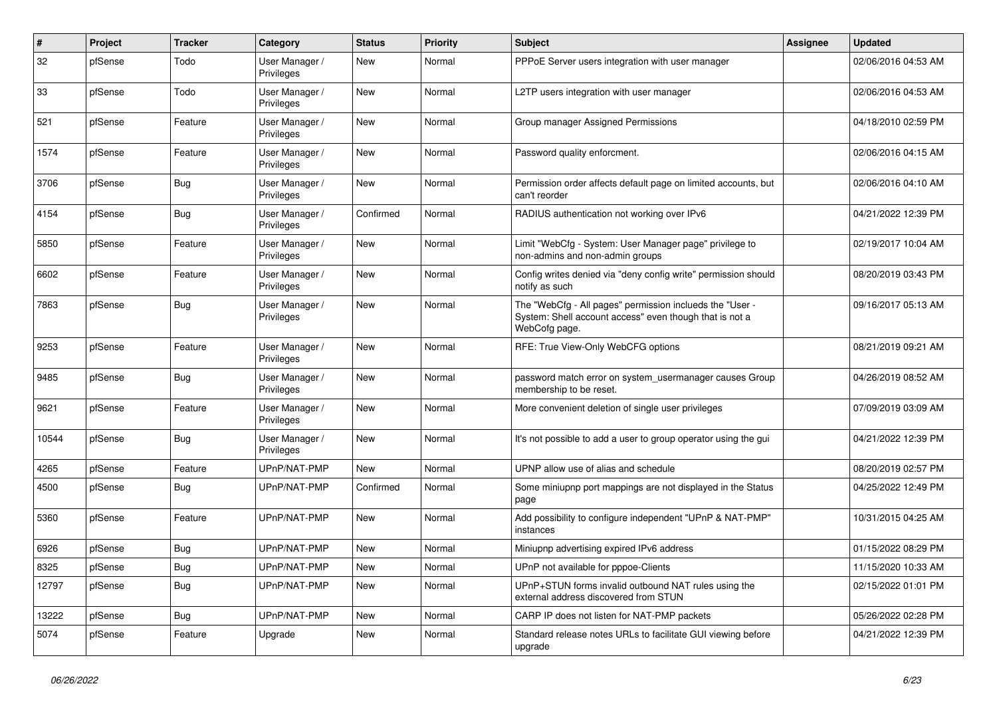| #     | Project | <b>Tracker</b> | Category                     | <b>Status</b> | Priority | <b>Subject</b>                                                                                                                       | <b>Assignee</b> | Updated             |
|-------|---------|----------------|------------------------------|---------------|----------|--------------------------------------------------------------------------------------------------------------------------------------|-----------------|---------------------|
| 32    | pfSense | Todo           | User Manager /<br>Privileges | New           | Normal   | PPPoE Server users integration with user manager                                                                                     |                 | 02/06/2016 04:53 AM |
| 33    | pfSense | Todo           | User Manager /<br>Privileges | <b>New</b>    | Normal   | L2TP users integration with user manager                                                                                             |                 | 02/06/2016 04:53 AM |
| 521   | pfSense | Feature        | User Manager /<br>Privileges | <b>New</b>    | Normal   | Group manager Assigned Permissions                                                                                                   |                 | 04/18/2010 02:59 PM |
| 1574  | pfSense | Feature        | User Manager /<br>Privileges | <b>New</b>    | Normal   | Password quality enforcment.                                                                                                         |                 | 02/06/2016 04:15 AM |
| 3706  | pfSense | Bug            | User Manager /<br>Privileges | <b>New</b>    | Normal   | Permission order affects default page on limited accounts, but<br>can't reorder                                                      |                 | 02/06/2016 04:10 AM |
| 4154  | pfSense | Bug            | User Manager /<br>Privileges | Confirmed     | Normal   | RADIUS authentication not working over IPv6                                                                                          |                 | 04/21/2022 12:39 PM |
| 5850  | pfSense | Feature        | User Manager /<br>Privileges | <b>New</b>    | Normal   | Limit "WebCfg - System: User Manager page" privilege to<br>non-admins and non-admin groups                                           |                 | 02/19/2017 10:04 AM |
| 6602  | pfSense | Feature        | User Manager /<br>Privileges | <b>New</b>    | Normal   | Config writes denied via "deny config write" permission should<br>notify as such                                                     |                 | 08/20/2019 03:43 PM |
| 7863  | pfSense | <b>Bug</b>     | User Manager /<br>Privileges | <b>New</b>    | Normal   | The "WebCfg - All pages" permission inclueds the "User -<br>System: Shell account access" even though that is not a<br>WebCofg page. |                 | 09/16/2017 05:13 AM |
| 9253  | pfSense | Feature        | User Manager /<br>Privileges | <b>New</b>    | Normal   | RFE: True View-Only WebCFG options                                                                                                   |                 | 08/21/2019 09:21 AM |
| 9485  | pfSense | <b>Bug</b>     | User Manager /<br>Privileges | <b>New</b>    | Normal   | password match error on system usermanager causes Group<br>membership to be reset.                                                   |                 | 04/26/2019 08:52 AM |
| 9621  | pfSense | Feature        | User Manager /<br>Privileges | <b>New</b>    | Normal   | More convenient deletion of single user privileges                                                                                   |                 | 07/09/2019 03:09 AM |
| 10544 | pfSense | Bug            | User Manager /<br>Privileges | <b>New</b>    | Normal   | It's not possible to add a user to group operator using the gui                                                                      |                 | 04/21/2022 12:39 PM |
| 4265  | pfSense | Feature        | UPnP/NAT-PMP                 | <b>New</b>    | Normal   | UPNP allow use of alias and schedule                                                                                                 |                 | 08/20/2019 02:57 PM |
| 4500  | pfSense | <b>Bug</b>     | UPnP/NAT-PMP                 | Confirmed     | Normal   | Some miniupnp port mappings are not displayed in the Status<br>page                                                                  |                 | 04/25/2022 12:49 PM |
| 5360  | pfSense | Feature        | UPnP/NAT-PMP                 | New           | Normal   | Add possibility to configure independent "UPnP & NAT-PMP"<br>instances                                                               |                 | 10/31/2015 04:25 AM |
| 6926  | pfSense | Bug            | UPnP/NAT-PMP                 | <b>New</b>    | Normal   | Miniupnp advertising expired IPv6 address                                                                                            |                 | 01/15/2022 08:29 PM |
| 8325  | pfSense | Bug            | UPnP/NAT-PMP                 | <b>New</b>    | Normal   | UPnP not available for pppoe-Clients                                                                                                 |                 | 11/15/2020 10:33 AM |
| 12797 | pfSense | Bug            | UPnP/NAT-PMP                 | <b>New</b>    | Normal   | UPnP+STUN forms invalid outbound NAT rules using the<br>external address discovered from STUN                                        |                 | 02/15/2022 01:01 PM |
| 13222 | pfSense | Bug            | UPnP/NAT-PMP                 | New           | Normal   | CARP IP does not listen for NAT-PMP packets                                                                                          |                 | 05/26/2022 02:28 PM |
| 5074  | pfSense | Feature        | Upgrade                      | <b>New</b>    | Normal   | Standard release notes URLs to facilitate GUI viewing before<br>upgrade                                                              |                 | 04/21/2022 12:39 PM |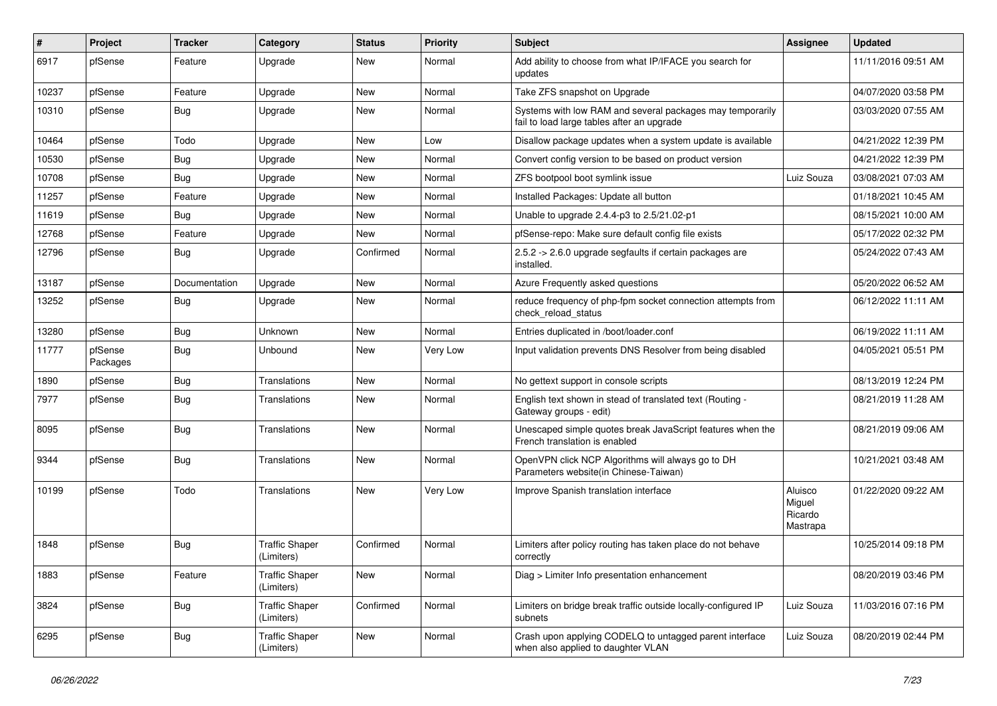| #     | Project             | <b>Tracker</b> | Category                            | <b>Status</b> | <b>Priority</b> | Subject                                                                                                 | <b>Assignee</b>                          | <b>Updated</b>      |
|-------|---------------------|----------------|-------------------------------------|---------------|-----------------|---------------------------------------------------------------------------------------------------------|------------------------------------------|---------------------|
| 6917  | pfSense             | Feature        | Upgrade                             | New           | Normal          | Add ability to choose from what IP/IFACE you search for<br>updates                                      |                                          | 11/11/2016 09:51 AM |
| 10237 | pfSense             | Feature        | Upgrade                             | New           | Normal          | Take ZFS snapshot on Upgrade                                                                            |                                          | 04/07/2020 03:58 PM |
| 10310 | pfSense             | Bug            | Upgrade                             | New           | Normal          | Systems with low RAM and several packages may temporarily<br>fail to load large tables after an upgrade |                                          | 03/03/2020 07:55 AM |
| 10464 | pfSense             | Todo           | Upgrade                             | <b>New</b>    | Low             | Disallow package updates when a system update is available                                              |                                          | 04/21/2022 12:39 PM |
| 10530 | pfSense             | Bug            | Upgrade                             | New           | Normal          | Convert config version to be based on product version                                                   |                                          | 04/21/2022 12:39 PM |
| 10708 | pfSense             | Bug            | Upgrade                             | New           | Normal          | ZFS bootpool boot symlink issue                                                                         | Luiz Souza                               | 03/08/2021 07:03 AM |
| 11257 | pfSense             | Feature        | Upgrade                             | New           | Normal          | Installed Packages: Update all button                                                                   |                                          | 01/18/2021 10:45 AM |
| 11619 | pfSense             | Bug            | Upgrade                             | New           | Normal          | Unable to upgrade 2.4.4-p3 to 2.5/21.02-p1                                                              |                                          | 08/15/2021 10:00 AM |
| 12768 | pfSense             | Feature        | Upgrade                             | New           | Normal          | pfSense-repo: Make sure default config file exists                                                      |                                          | 05/17/2022 02:32 PM |
| 12796 | pfSense             | Bug            | Upgrade                             | Confirmed     | Normal          | 2.5.2 -> 2.6.0 upgrade segfaults if certain packages are<br>installed.                                  |                                          | 05/24/2022 07:43 AM |
| 13187 | pfSense             | Documentation  | Upgrade                             | New           | Normal          | Azure Frequently asked questions                                                                        |                                          | 05/20/2022 06:52 AM |
| 13252 | pfSense             | <b>Bug</b>     | Upgrade                             | New           | Normal          | reduce frequency of php-fpm socket connection attempts from<br>check reload status                      |                                          | 06/12/2022 11:11 AM |
| 13280 | pfSense             | Bug            | Unknown                             | New           | Normal          | Entries duplicated in /boot/loader.conf                                                                 |                                          | 06/19/2022 11:11 AM |
| 11777 | pfSense<br>Packages | Bug            | Unbound                             | New           | Very Low        | Input validation prevents DNS Resolver from being disabled                                              |                                          | 04/05/2021 05:51 PM |
| 1890  | pfSense             | Bug            | Translations                        | <b>New</b>    | Normal          | No gettext support in console scripts                                                                   |                                          | 08/13/2019 12:24 PM |
| 7977  | pfSense             | Bug            | Translations                        | New           | Normal          | English text shown in stead of translated text (Routing -<br>Gateway groups - edit)                     |                                          | 08/21/2019 11:28 AM |
| 8095  | pfSense             | Bug            | Translations                        | New           | Normal          | Unescaped simple quotes break JavaScript features when the<br>French translation is enabled             |                                          | 08/21/2019 09:06 AM |
| 9344  | pfSense             | <b>Bug</b>     | Translations                        | New           | Normal          | OpenVPN click NCP Algorithms will always go to DH<br>Parameters website(in Chinese-Taiwan)              |                                          | 10/21/2021 03:48 AM |
| 10199 | pfSense             | Todo           | Translations                        | <b>New</b>    | Very Low        | Improve Spanish translation interface                                                                   | Aluisco<br>Miguel<br>Ricardo<br>Mastrapa | 01/22/2020 09:22 AM |
| 1848  | pfSense             | <b>Bug</b>     | <b>Traffic Shaper</b><br>(Limiters) | Confirmed     | Normal          | Limiters after policy routing has taken place do not behave<br>correctly                                |                                          | 10/25/2014 09:18 PM |
| 1883  | pfSense             | Feature        | <b>Traffic Shaper</b><br>(Limiters) | New           | Normal          | Diag > Limiter Info presentation enhancement                                                            |                                          | 08/20/2019 03:46 PM |
| 3824  | pfSense             | <b>Bug</b>     | <b>Traffic Shaper</b><br>(Limiters) | Confirmed     | Normal          | Limiters on bridge break traffic outside locally-configured IP<br>subnets                               | Luiz Souza                               | 11/03/2016 07:16 PM |
| 6295  | pfSense             | <b>Bug</b>     | <b>Traffic Shaper</b><br>(Limiters) | New           | Normal          | Crash upon applying CODELQ to untagged parent interface<br>when also applied to daughter VLAN           | Luiz Souza                               | 08/20/2019 02:44 PM |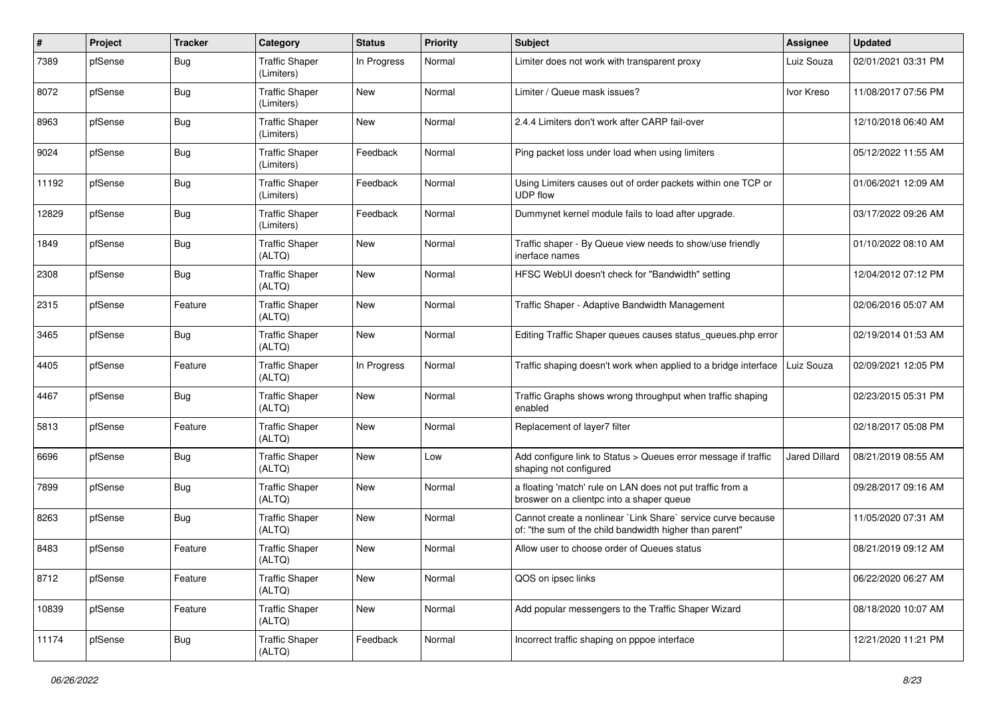| ∦     | Project | <b>Tracker</b> | Category                            | <b>Status</b> | <b>Priority</b> | Subject                                                                                                                 | <b>Assignee</b>      | <b>Updated</b>      |
|-------|---------|----------------|-------------------------------------|---------------|-----------------|-------------------------------------------------------------------------------------------------------------------------|----------------------|---------------------|
| 7389  | pfSense | Bug            | <b>Traffic Shaper</b><br>(Limiters) | In Progress   | Normal          | Limiter does not work with transparent proxy                                                                            | Luiz Souza           | 02/01/2021 03:31 PM |
| 8072  | pfSense | Bug            | <b>Traffic Shaper</b><br>(Limiters) | New           | Normal          | Limiter / Queue mask issues?                                                                                            | Ivor Kreso           | 11/08/2017 07:56 PM |
| 8963  | pfSense | Bug            | <b>Traffic Shaper</b><br>(Limiters) | <b>New</b>    | Normal          | 2.4.4 Limiters don't work after CARP fail-over                                                                          |                      | 12/10/2018 06:40 AM |
| 9024  | pfSense | Bug            | <b>Traffic Shaper</b><br>(Limiters) | Feedback      | Normal          | Ping packet loss under load when using limiters                                                                         |                      | 05/12/2022 11:55 AM |
| 11192 | pfSense | Bug            | <b>Traffic Shaper</b><br>(Limiters) | Feedback      | Normal          | Using Limiters causes out of order packets within one TCP or<br><b>UDP flow</b>                                         |                      | 01/06/2021 12:09 AM |
| 12829 | pfSense | Bug            | <b>Traffic Shaper</b><br>(Limiters) | Feedback      | Normal          | Dummynet kernel module fails to load after upgrade.                                                                     |                      | 03/17/2022 09:26 AM |
| 1849  | pfSense | Bug            | <b>Traffic Shaper</b><br>(ALTQ)     | <b>New</b>    | Normal          | Traffic shaper - By Queue view needs to show/use friendly<br>inerface names                                             |                      | 01/10/2022 08:10 AM |
| 2308  | pfSense | Bug            | <b>Traffic Shaper</b><br>(ALTQ)     | <b>New</b>    | Normal          | HFSC WebUI doesn't check for "Bandwidth" setting                                                                        |                      | 12/04/2012 07:12 PM |
| 2315  | pfSense | Feature        | <b>Traffic Shaper</b><br>(ALTQ)     | <b>New</b>    | Normal          | Traffic Shaper - Adaptive Bandwidth Management                                                                          |                      | 02/06/2016 05:07 AM |
| 3465  | pfSense | Bug            | <b>Traffic Shaper</b><br>(ALTQ)     | New           | Normal          | Editing Traffic Shaper queues causes status_queues.php error                                                            |                      | 02/19/2014 01:53 AM |
| 4405  | pfSense | Feature        | <b>Traffic Shaper</b><br>(ALTQ)     | In Progress   | Normal          | Traffic shaping doesn't work when applied to a bridge interface                                                         | Luiz Souza           | 02/09/2021 12:05 PM |
| 4467  | pfSense | Bug            | <b>Traffic Shaper</b><br>(ALTQ)     | <b>New</b>    | Normal          | Traffic Graphs shows wrong throughput when traffic shaping<br>enabled                                                   |                      | 02/23/2015 05:31 PM |
| 5813  | pfSense | Feature        | <b>Traffic Shaper</b><br>(ALTQ)     | <b>New</b>    | Normal          | Replacement of layer7 filter                                                                                            |                      | 02/18/2017 05:08 PM |
| 6696  | pfSense | Bug            | <b>Traffic Shaper</b><br>(ALTQ)     | <b>New</b>    | Low             | Add configure link to Status > Queues error message if traffic<br>shaping not configured                                | <b>Jared Dillard</b> | 08/21/2019 08:55 AM |
| 7899  | pfSense | Bug            | <b>Traffic Shaper</b><br>(ALTQ)     | <b>New</b>    | Normal          | a floating 'match' rule on LAN does not put traffic from a<br>broswer on a clientpc into a shaper queue                 |                      | 09/28/2017 09:16 AM |
| 8263  | pfSense | Bug            | <b>Traffic Shaper</b><br>(ALTQ)     | <b>New</b>    | Normal          | Cannot create a nonlinear `Link Share` service curve because<br>of: "the sum of the child bandwidth higher than parent" |                      | 11/05/2020 07:31 AM |
| 8483  | pfSense | Feature        | <b>Traffic Shaper</b><br>(ALTQ)     | <b>New</b>    | Normal          | Allow user to choose order of Queues status                                                                             |                      | 08/21/2019 09:12 AM |
| 8712  | pfSense | Feature        | <b>Traffic Shaper</b><br>(ALTQ)     | New           | Normal          | QOS on ipsec links                                                                                                      |                      | 06/22/2020 06:27 AM |
| 10839 | pfSense | Feature        | <b>Traffic Shaper</b><br>(ALTQ)     | New           | Normal          | Add popular messengers to the Traffic Shaper Wizard                                                                     |                      | 08/18/2020 10:07 AM |
| 11174 | pfSense | Bug            | <b>Traffic Shaper</b><br>(ALTQ)     | Feedback      | Normal          | Incorrect traffic shaping on pppoe interface                                                                            |                      | 12/21/2020 11:21 PM |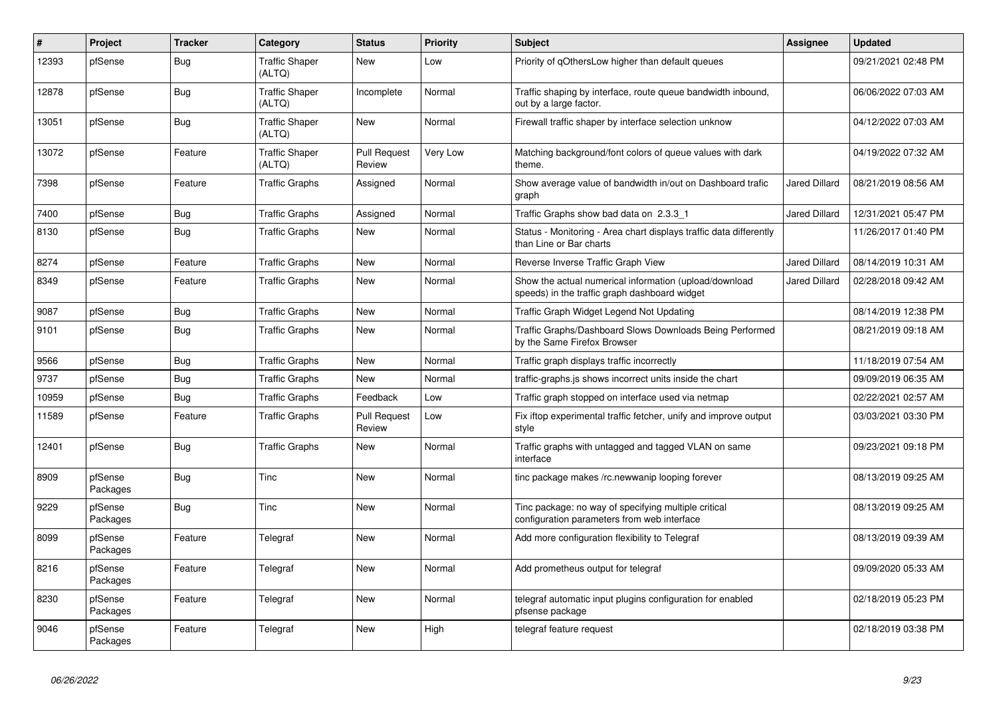| ∦     | Project             | <b>Tracker</b> | Category                        | <b>Status</b>                 | Priority        | <b>Subject</b>                                                                                          | Assignee             | <b>Updated</b>      |
|-------|---------------------|----------------|---------------------------------|-------------------------------|-----------------|---------------------------------------------------------------------------------------------------------|----------------------|---------------------|
| 12393 | pfSense             | Bug            | <b>Traffic Shaper</b><br>(ALTQ) | New                           | Low             | Priority of gOthersLow higher than default queues                                                       |                      | 09/21/2021 02:48 PM |
| 12878 | pfSense             | <b>Bug</b>     | <b>Traffic Shaper</b><br>(ALTQ) | Incomplete                    | Normal          | Traffic shaping by interface, route queue bandwidth inbound,<br>out by a large factor.                  |                      | 06/06/2022 07:03 AM |
| 13051 | pfSense             | Bug            | <b>Traffic Shaper</b><br>(ALTQ) | New                           | Normal          | Firewall traffic shaper by interface selection unknow                                                   |                      | 04/12/2022 07:03 AM |
| 13072 | pfSense             | Feature        | <b>Traffic Shaper</b><br>(ALTQ) | <b>Pull Request</b><br>Review | <b>Very Low</b> | Matching background/font colors of queue values with dark<br>theme.                                     |                      | 04/19/2022 07:32 AM |
| 7398  | pfSense             | Feature        | <b>Traffic Graphs</b>           | Assigned                      | Normal          | Show average value of bandwidth in/out on Dashboard trafic<br>graph                                     | <b>Jared Dillard</b> | 08/21/2019 08:56 AM |
| 7400  | pfSense             | Bug            | <b>Traffic Graphs</b>           | Assigned                      | Normal          | Traffic Graphs show bad data on 2.3.3 1                                                                 | Jared Dillard        | 12/31/2021 05:47 PM |
| 8130  | pfSense             | Bug            | <b>Traffic Graphs</b>           | New                           | Normal          | Status - Monitoring - Area chart displays traffic data differently<br>than Line or Bar charts           |                      | 11/26/2017 01:40 PM |
| 8274  | pfSense             | Feature        | <b>Traffic Graphs</b>           | <b>New</b>                    | Normal          | Reverse Inverse Traffic Graph View                                                                      | Jared Dillard        | 08/14/2019 10:31 AM |
| 8349  | pfSense             | Feature        | <b>Traffic Graphs</b>           | <b>New</b>                    | Normal          | Show the actual numerical information (upload/download<br>speeds) in the traffic graph dashboard widget | <b>Jared Dillard</b> | 02/28/2018 09:42 AM |
| 9087  | pfSense             | <b>Bug</b>     | <b>Traffic Graphs</b>           | <b>New</b>                    | Normal          | Traffic Graph Widget Legend Not Updating                                                                |                      | 08/14/2019 12:38 PM |
| 9101  | pfSense             | Bug            | <b>Traffic Graphs</b>           | New                           | Normal          | Traffic Graphs/Dashboard Slows Downloads Being Performed<br>by the Same Firefox Browser                 |                      | 08/21/2019 09:18 AM |
| 9566  | pfSense             | <b>Bug</b>     | <b>Traffic Graphs</b>           | <b>New</b>                    | Normal          | Traffic graph displays traffic incorrectly                                                              |                      | 11/18/2019 07:54 AM |
| 9737  | pfSense             | Bug            | <b>Traffic Graphs</b>           | New                           | Normal          | traffic-graphs is shows incorrect units inside the chart                                                |                      | 09/09/2019 06:35 AM |
| 10959 | pfSense             | Bug            | <b>Traffic Graphs</b>           | Feedback                      | Low             | Traffic graph stopped on interface used via netmap                                                      |                      | 02/22/2021 02:57 AM |
| 11589 | pfSense             | Feature        | <b>Traffic Graphs</b>           | <b>Pull Request</b><br>Review | Low             | Fix iftop experimental traffic fetcher, unify and improve output<br>style                               |                      | 03/03/2021 03:30 PM |
| 12401 | pfSense             | Bug            | <b>Traffic Graphs</b>           | New                           | Normal          | Traffic graphs with untagged and tagged VLAN on same<br>interface                                       |                      | 09/23/2021 09:18 PM |
| 8909  | pfSense<br>Packages | Bug            | Tinc                            | <b>New</b>                    | Normal          | tinc package makes /rc.newwanip looping forever                                                         |                      | 08/13/2019 09:25 AM |
| 9229  | pfSense<br>Packages | Bug            | Tinc                            | <b>New</b>                    | Normal          | Tinc package: no way of specifying multiple critical<br>configuration parameters from web interface     |                      | 08/13/2019 09:25 AM |
| 8099  | pfSense<br>Packages | Feature        | Telegraf                        | <b>New</b>                    | Normal          | Add more configuration flexibility to Telegraf                                                          |                      | 08/13/2019 09:39 AM |
| 8216  | pfSense<br>Packages | Feature        | Telegraf                        | <b>New</b>                    | Normal          | Add prometheus output for telegraf                                                                      |                      | 09/09/2020 05:33 AM |
| 8230  | pfSense<br>Packages | Feature        | Telegraf                        | New                           | Normal          | telegraf automatic input plugins configuration for enabled<br>pfsense package                           |                      | 02/18/2019 05:23 PM |
| 9046  | pfSense<br>Packages | Feature        | Telegraf                        | <b>New</b>                    | High            | telegraf feature request                                                                                |                      | 02/18/2019 03:38 PM |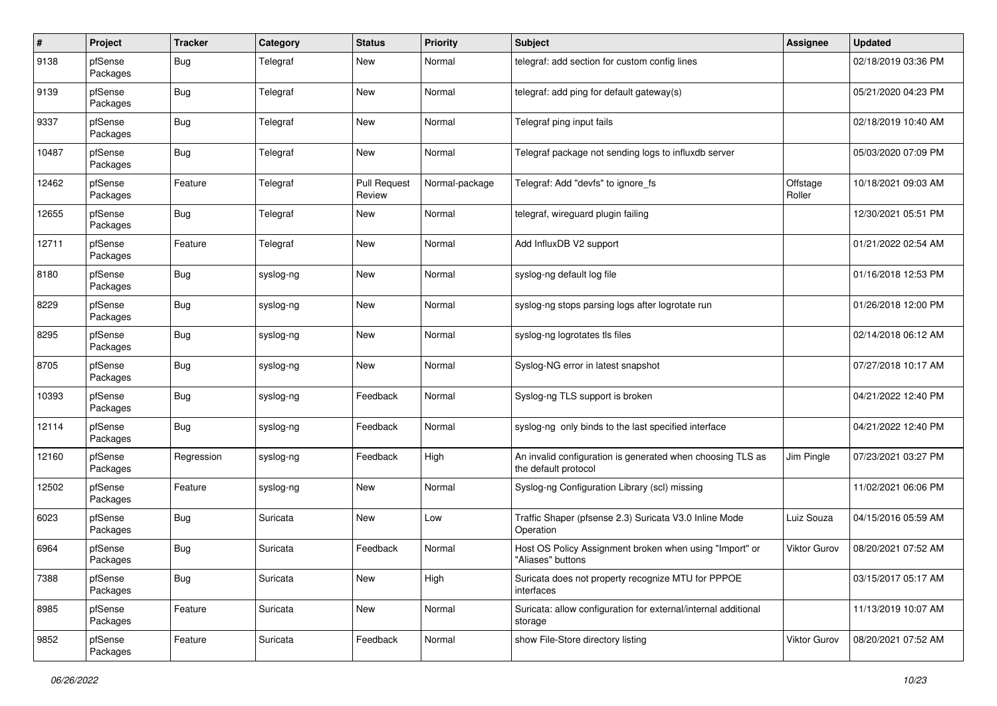| $\pmb{\#}$ | Project             | <b>Tracker</b>   | Category  | <b>Status</b>                 | <b>Priority</b> | <b>Subject</b>                                                                     | <b>Assignee</b>    | <b>Updated</b>      |
|------------|---------------------|------------------|-----------|-------------------------------|-----------------|------------------------------------------------------------------------------------|--------------------|---------------------|
| 9138       | pfSense<br>Packages | <b>Bug</b>       | Telegraf  | New                           | Normal          | telegraf: add section for custom config lines                                      |                    | 02/18/2019 03:36 PM |
| 9139       | pfSense<br>Packages | <b>Bug</b>       | Telegraf  | New                           | Normal          | telegraf: add ping for default gateway(s)                                          |                    | 05/21/2020 04:23 PM |
| 9337       | pfSense<br>Packages | <b>Bug</b>       | Telegraf  | <b>New</b>                    | Normal          | Telegraf ping input fails                                                          |                    | 02/18/2019 10:40 AM |
| 10487      | pfSense<br>Packages | <b>Bug</b>       | Telegraf  | New                           | Normal          | Telegraf package not sending logs to influxdb server                               |                    | 05/03/2020 07:09 PM |
| 12462      | pfSense<br>Packages | Feature          | Telegraf  | <b>Pull Request</b><br>Review | Normal-package  | Telegraf: Add "devfs" to ignore_fs                                                 | Offstage<br>Roller | 10/18/2021 09:03 AM |
| 12655      | pfSense<br>Packages | <b>Bug</b>       | Telegraf  | New                           | Normal          | telegraf, wireguard plugin failing                                                 |                    | 12/30/2021 05:51 PM |
| 12711      | pfSense<br>Packages | Feature          | Telegraf  | New                           | Normal          | Add InfluxDB V2 support                                                            |                    | 01/21/2022 02:54 AM |
| 8180       | pfSense<br>Packages | <b>Bug</b>       | syslog-ng | New                           | Normal          | syslog-ng default log file                                                         |                    | 01/16/2018 12:53 PM |
| 8229       | pfSense<br>Packages | <b>Bug</b>       | syslog-ng | New                           | Normal          | syslog-ng stops parsing logs after logrotate run                                   |                    | 01/26/2018 12:00 PM |
| 8295       | pfSense<br>Packages | <b>Bug</b>       | syslog-ng | <b>New</b>                    | Normal          | syslog-ng logrotates tls files                                                     |                    | 02/14/2018 06:12 AM |
| 8705       | pfSense<br>Packages | <b>Bug</b>       | syslog-ng | New                           | Normal          | Syslog-NG error in latest snapshot                                                 |                    | 07/27/2018 10:17 AM |
| 10393      | pfSense<br>Packages | <b>Bug</b>       | syslog-ng | Feedback                      | Normal          | Syslog-ng TLS support is broken                                                    |                    | 04/21/2022 12:40 PM |
| 12114      | pfSense<br>Packages | Bug              | syslog-ng | Feedback                      | Normal          | syslog-ng only binds to the last specified interface                               |                    | 04/21/2022 12:40 PM |
| 12160      | pfSense<br>Packages | Regression       | syslog-ng | Feedback                      | High            | An invalid configuration is generated when choosing TLS as<br>the default protocol | Jim Pingle         | 07/23/2021 03:27 PM |
| 12502      | pfSense<br>Packages | Feature          | syslog-ng | New                           | Normal          | Syslog-ng Configuration Library (scl) missing                                      |                    | 11/02/2021 06:06 PM |
| 6023       | pfSense<br>Packages | <b>Bug</b>       | Suricata  | New                           | Low             | Traffic Shaper (pfsense 2.3) Suricata V3.0 Inline Mode<br>Operation                | Luiz Souza         | 04/15/2016 05:59 AM |
| 6964       | pfSense<br>Packages | <b>Bug</b>       | Suricata  | Feedback                      | Normal          | Host OS Policy Assignment broken when using "Import" or<br>"Aliases" buttons       | Viktor Gurov       | 08/20/2021 07:52 AM |
| 7388       | pfSense<br>Packages | <sub>I</sub> Bug | Suricata  | New                           | High            | Suricata does not property recognize MTU for PPPOE<br>interfaces                   |                    | 03/15/2017 05:17 AM |
| 8985       | pfSense<br>Packages | Feature          | Suricata  | <b>New</b>                    | Normal          | Suricata: allow configuration for external/internal additional<br>storage          |                    | 11/13/2019 10:07 AM |
| 9852       | pfSense<br>Packages | Feature          | Suricata  | Feedback                      | Normal          | show File-Store directory listing                                                  | Viktor Gurov       | 08/20/2021 07:52 AM |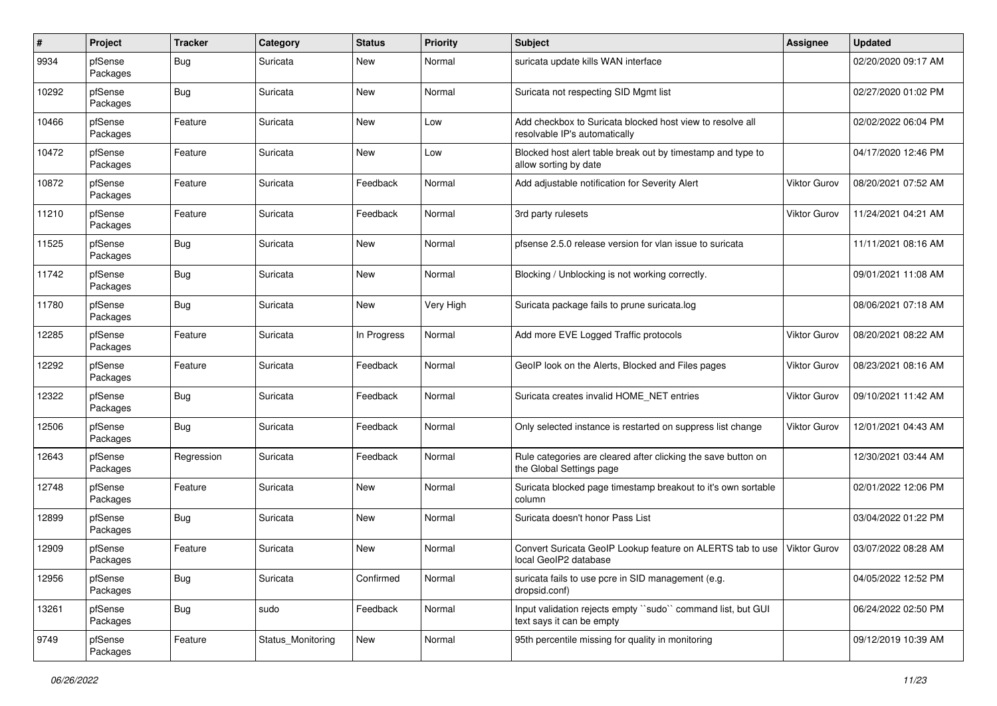| $\pmb{\#}$ | Project             | <b>Tracker</b> | Category          | <b>Status</b> | <b>Priority</b> | Subject                                                                                    | <b>Assignee</b>     | <b>Updated</b>      |
|------------|---------------------|----------------|-------------------|---------------|-----------------|--------------------------------------------------------------------------------------------|---------------------|---------------------|
| 9934       | pfSense<br>Packages | <b>Bug</b>     | Suricata          | New           | Normal          | suricata update kills WAN interface                                                        |                     | 02/20/2020 09:17 AM |
| 10292      | pfSense<br>Packages | <b>Bug</b>     | Suricata          | <b>New</b>    | Normal          | Suricata not respecting SID Mgmt list                                                      |                     | 02/27/2020 01:02 PM |
| 10466      | pfSense<br>Packages | Feature        | Suricata          | <b>New</b>    | Low             | Add checkbox to Suricata blocked host view to resolve all<br>resolvable IP's automatically |                     | 02/02/2022 06:04 PM |
| 10472      | pfSense<br>Packages | Feature        | Suricata          | <b>New</b>    | Low             | Blocked host alert table break out by timestamp and type to<br>allow sorting by date       |                     | 04/17/2020 12:46 PM |
| 10872      | pfSense<br>Packages | Feature        | Suricata          | Feedback      | Normal          | Add adjustable notification for Severity Alert                                             | Viktor Gurov        | 08/20/2021 07:52 AM |
| 11210      | pfSense<br>Packages | Feature        | Suricata          | Feedback      | Normal          | 3rd party rulesets                                                                         | Viktor Gurov        | 11/24/2021 04:21 AM |
| 11525      | pfSense<br>Packages | <b>Bug</b>     | Suricata          | New           | Normal          | pfsense 2.5.0 release version for vlan issue to suricata                                   |                     | 11/11/2021 08:16 AM |
| 11742      | pfSense<br>Packages | <b>Bug</b>     | Suricata          | New           | Normal          | Blocking / Unblocking is not working correctly.                                            |                     | 09/01/2021 11:08 AM |
| 11780      | pfSense<br>Packages | Bug            | Suricata          | New           | Very High       | Suricata package fails to prune suricata.log                                               |                     | 08/06/2021 07:18 AM |
| 12285      | pfSense<br>Packages | Feature        | Suricata          | In Progress   | Normal          | Add more EVE Logged Traffic protocols                                                      | Viktor Gurov        | 08/20/2021 08:22 AM |
| 12292      | pfSense<br>Packages | Feature        | Suricata          | Feedback      | Normal          | GeoIP look on the Alerts, Blocked and Files pages                                          | <b>Viktor Gurov</b> | 08/23/2021 08:16 AM |
| 12322      | pfSense<br>Packages | <b>Bug</b>     | Suricata          | Feedback      | Normal          | Suricata creates invalid HOME_NET entries                                                  | Viktor Gurov        | 09/10/2021 11:42 AM |
| 12506      | pfSense<br>Packages | Bug            | Suricata          | Feedback      | Normal          | Only selected instance is restarted on suppress list change                                | <b>Viktor Gurov</b> | 12/01/2021 04:43 AM |
| 12643      | pfSense<br>Packages | Regression     | Suricata          | Feedback      | Normal          | Rule categories are cleared after clicking the save button on<br>the Global Settings page  |                     | 12/30/2021 03:44 AM |
| 12748      | pfSense<br>Packages | Feature        | Suricata          | New           | Normal          | Suricata blocked page timestamp breakout to it's own sortable<br>column                    |                     | 02/01/2022 12:06 PM |
| 12899      | pfSense<br>Packages | <b>Bug</b>     | Suricata          | New           | Normal          | Suricata doesn't honor Pass List                                                           |                     | 03/04/2022 01:22 PM |
| 12909      | pfSense<br>Packages | Feature        | Suricata          | New           | Normal          | Convert Suricata GeoIP Lookup feature on ALERTS tab to use<br>local GeoIP2 database        | Viktor Gurov        | 03/07/2022 08:28 AM |
| 12956      | pfSense<br>Packages | i Bug          | Suricata          | Confirmed     | Normal          | suricata fails to use pcre in SID management (e.g.<br>dropsid.conf)                        |                     | 04/05/2022 12:52 PM |
| 13261      | pfSense<br>Packages | Bug            | sudo              | Feedback      | Normal          | Input validation rejects empty "sudo" command list, but GUI<br>text says it can be empty   |                     | 06/24/2022 02:50 PM |
| 9749       | pfSense<br>Packages | Feature        | Status_Monitoring | New           | Normal          | 95th percentile missing for quality in monitoring                                          |                     | 09/12/2019 10:39 AM |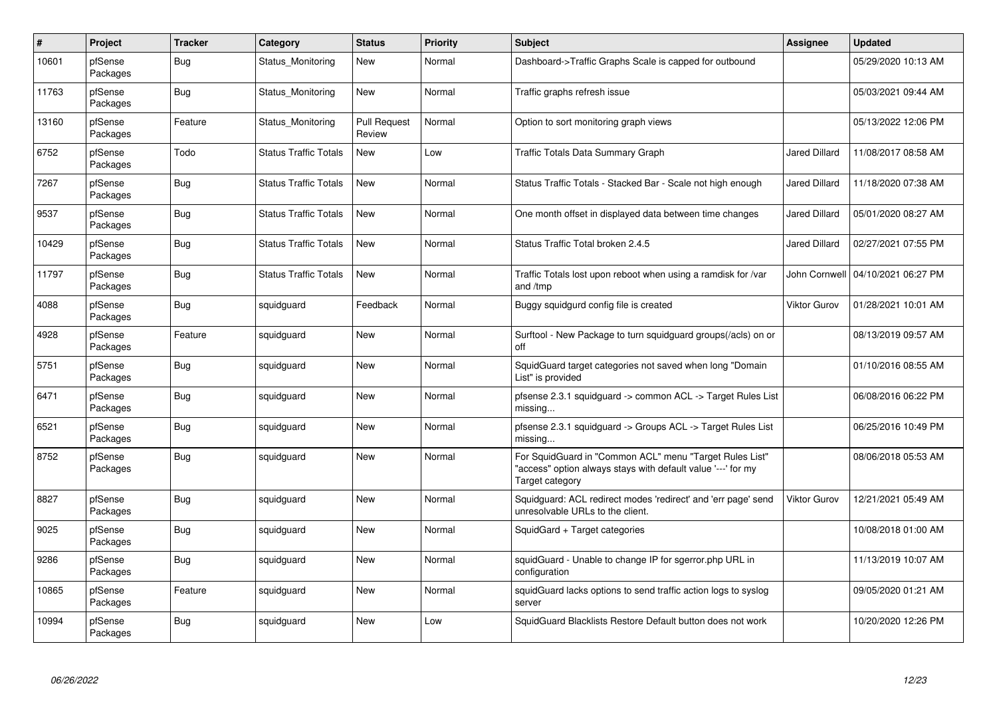| $\pmb{\#}$ | Project             | <b>Tracker</b> | Category                     | <b>Status</b>                 | <b>Priority</b> | <b>Subject</b>                                                                                                                             | <b>Assignee</b>      | <b>Updated</b>      |
|------------|---------------------|----------------|------------------------------|-------------------------------|-----------------|--------------------------------------------------------------------------------------------------------------------------------------------|----------------------|---------------------|
| 10601      | pfSense<br>Packages | Bug            | Status Monitoring            | New                           | Normal          | Dashboard->Traffic Graphs Scale is capped for outbound                                                                                     |                      | 05/29/2020 10:13 AM |
| 11763      | pfSense<br>Packages | <b>Bug</b>     | Status_Monitoring            | <b>New</b>                    | Normal          | Traffic graphs refresh issue                                                                                                               |                      | 05/03/2021 09:44 AM |
| 13160      | pfSense<br>Packages | Feature        | Status Monitoring            | <b>Pull Request</b><br>Review | Normal          | Option to sort monitoring graph views                                                                                                      |                      | 05/13/2022 12:06 PM |
| 6752       | pfSense<br>Packages | Todo           | <b>Status Traffic Totals</b> | <b>New</b>                    | Low             | Traffic Totals Data Summary Graph                                                                                                          | Jared Dillard        | 11/08/2017 08:58 AM |
| 7267       | pfSense<br>Packages | <b>Bug</b>     | <b>Status Traffic Totals</b> | <b>New</b>                    | Normal          | Status Traffic Totals - Stacked Bar - Scale not high enough                                                                                | <b>Jared Dillard</b> | 11/18/2020 07:38 AM |
| 9537       | pfSense<br>Packages | <b>Bug</b>     | <b>Status Traffic Totals</b> | New                           | Normal          | One month offset in displayed data between time changes                                                                                    | Jared Dillard        | 05/01/2020 08:27 AM |
| 10429      | pfSense<br>Packages | <b>Bug</b>     | <b>Status Traffic Totals</b> | <b>New</b>                    | Normal          | Status Traffic Total broken 2.4.5                                                                                                          | <b>Jared Dillard</b> | 02/27/2021 07:55 PM |
| 11797      | pfSense<br>Packages | Bug            | <b>Status Traffic Totals</b> | <b>New</b>                    | Normal          | Traffic Totals lost upon reboot when using a ramdisk for /var<br>and /tmp                                                                  | John Cornwell        | 04/10/2021 06:27 PM |
| 4088       | pfSense<br>Packages | <b>Bug</b>     | squidguard                   | Feedback                      | Normal          | Buggy squidgurd config file is created                                                                                                     | Viktor Gurov         | 01/28/2021 10:01 AM |
| 4928       | pfSense<br>Packages | Feature        | squidguard                   | <b>New</b>                    | Normal          | Surftool - New Package to turn squidguard groups(/acls) on or<br>off                                                                       |                      | 08/13/2019 09:57 AM |
| 5751       | pfSense<br>Packages | <b>Bug</b>     | squidguard                   | <b>New</b>                    | Normal          | SquidGuard target categories not saved when long "Domain<br>List" is provided                                                              |                      | 01/10/2016 08:55 AM |
| 6471       | pfSense<br>Packages | Bug            | squidguard                   | <b>New</b>                    | Normal          | pfsense 2.3.1 squidquard -> common ACL -> Target Rules List<br>missing                                                                     |                      | 06/08/2016 06:22 PM |
| 6521       | pfSense<br>Packages | <b>Bug</b>     | squidguard                   | <b>New</b>                    | Normal          | pfsense 2.3.1 squidguard -> Groups ACL -> Target Rules List<br>missing                                                                     |                      | 06/25/2016 10:49 PM |
| 8752       | pfSense<br>Packages | Bug            | squidguard                   | <b>New</b>                    | Normal          | For SquidGuard in "Common ACL" menu "Target Rules List"<br>'access" option always stays with default value '---' for my<br>Target category |                      | 08/06/2018 05:53 AM |
| 8827       | pfSense<br>Packages | Bug            | squidguard                   | <b>New</b>                    | Normal          | Squidquard: ACL redirect modes 'redirect' and 'err page' send<br>unresolvable URLs to the client.                                          | <b>Viktor Gurov</b>  | 12/21/2021 05:49 AM |
| 9025       | pfSense<br>Packages | Bug            | squidguard                   | <b>New</b>                    | Normal          | SquidGard + Target categories                                                                                                              |                      | 10/08/2018 01:00 AM |
| 9286       | pfSense<br>Packages | <b>Bug</b>     | squidguard                   | <b>New</b>                    | Normal          | squidGuard - Unable to change IP for sgerror.php URL in<br>configuration                                                                   |                      | 11/13/2019 10:07 AM |
| 10865      | pfSense<br>Packages | Feature        | squidguard                   | <b>New</b>                    | Normal          | squidGuard lacks options to send traffic action logs to syslog<br>server                                                                   |                      | 09/05/2020 01:21 AM |
| 10994      | pfSense<br>Packages | <b>Bug</b>     | squidguard                   | <b>New</b>                    | Low             | SquidGuard Blacklists Restore Default button does not work                                                                                 |                      | 10/20/2020 12:26 PM |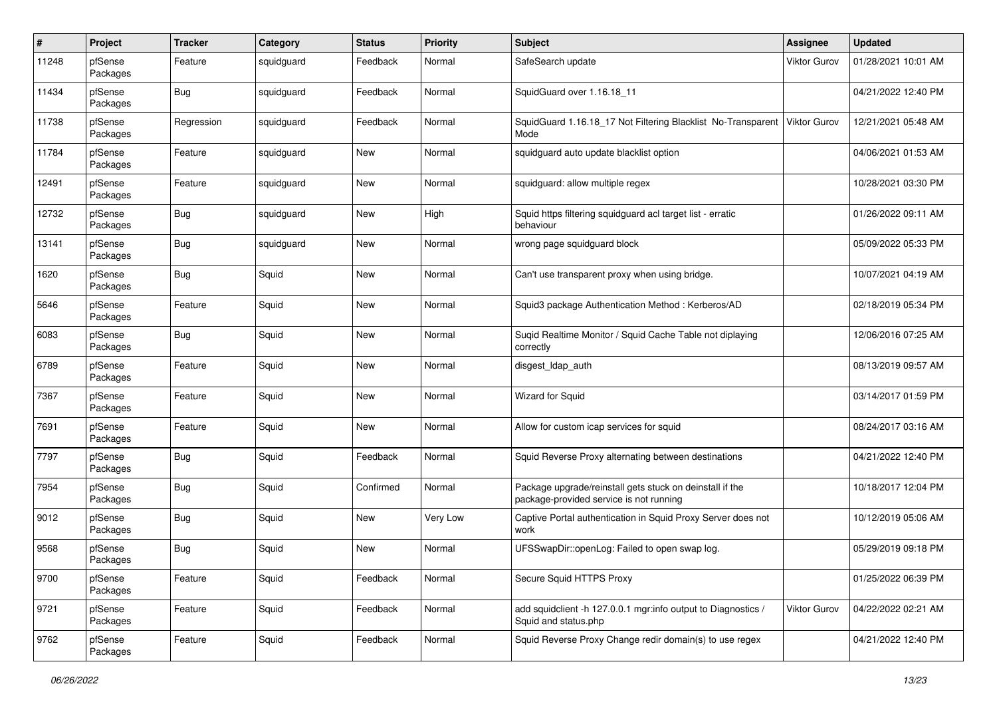| $\#$  | Project             | <b>Tracker</b> | Category   | <b>Status</b> | <b>Priority</b> | <b>Subject</b>                                                                                      | <b>Assignee</b>     | <b>Updated</b>      |
|-------|---------------------|----------------|------------|---------------|-----------------|-----------------------------------------------------------------------------------------------------|---------------------|---------------------|
| 11248 | pfSense<br>Packages | Feature        | squidguard | Feedback      | Normal          | SafeSearch update                                                                                   | <b>Viktor Gurov</b> | 01/28/2021 10:01 AM |
| 11434 | pfSense<br>Packages | Bug            | squidguard | Feedback      | Normal          | SquidGuard over 1.16.18 11                                                                          |                     | 04/21/2022 12:40 PM |
| 11738 | pfSense<br>Packages | Regression     | squidguard | Feedback      | Normal          | SquidGuard 1.16.18_17 Not Filtering Blacklist No-Transparent<br>Mode                                | Viktor Gurov        | 12/21/2021 05:48 AM |
| 11784 | pfSense<br>Packages | Feature        | squidguard | New           | Normal          | squidguard auto update blacklist option                                                             |                     | 04/06/2021 01:53 AM |
| 12491 | pfSense<br>Packages | Feature        | squidguard | <b>New</b>    | Normal          | squidguard: allow multiple regex                                                                    |                     | 10/28/2021 03:30 PM |
| 12732 | pfSense<br>Packages | Bug            | squidguard | New           | High            | Squid https filtering squidguard acl target list - erratic<br>behaviour                             |                     | 01/26/2022 09:11 AM |
| 13141 | pfSense<br>Packages | Bug            | squidguard | <b>New</b>    | Normal          | wrong page squidguard block                                                                         |                     | 05/09/2022 05:33 PM |
| 1620  | pfSense<br>Packages | Bug            | Squid      | New           | Normal          | Can't use transparent proxy when using bridge.                                                      |                     | 10/07/2021 04:19 AM |
| 5646  | pfSense<br>Packages | Feature        | Squid      | New           | Normal          | Squid3 package Authentication Method: Kerberos/AD                                                   |                     | 02/18/2019 05:34 PM |
| 6083  | pfSense<br>Packages | Bug            | Squid      | New           | Normal          | Suqid Realtime Monitor / Squid Cache Table not diplaying<br>correctly                               |                     | 12/06/2016 07:25 AM |
| 6789  | pfSense<br>Packages | Feature        | Squid      | <b>New</b>    | Normal          | disgest_ldap_auth                                                                                   |                     | 08/13/2019 09:57 AM |
| 7367  | pfSense<br>Packages | Feature        | Squid      | New           | Normal          | Wizard for Squid                                                                                    |                     | 03/14/2017 01:59 PM |
| 7691  | pfSense<br>Packages | Feature        | Squid      | <b>New</b>    | Normal          | Allow for custom icap services for squid                                                            |                     | 08/24/2017 03:16 AM |
| 7797  | pfSense<br>Packages | Bug            | Squid      | Feedback      | Normal          | Squid Reverse Proxy alternating between destinations                                                |                     | 04/21/2022 12:40 PM |
| 7954  | pfSense<br>Packages | Bug            | Squid      | Confirmed     | Normal          | Package upgrade/reinstall gets stuck on deinstall if the<br>package-provided service is not running |                     | 10/18/2017 12:04 PM |
| 9012  | pfSense<br>Packages | Bug            | Squid      | New           | Very Low        | Captive Portal authentication in Squid Proxy Server does not<br>work                                |                     | 10/12/2019 05:06 AM |
| 9568  | pfSense<br>Packages | Bug            | Squid      | New           | Normal          | UFSSwapDir::openLog: Failed to open swap log.                                                       |                     | 05/29/2019 09:18 PM |
| 9700  | pfSense<br>Packages | Feature        | Squid      | Feedback      | Normal          | Secure Squid HTTPS Proxy                                                                            |                     | 01/25/2022 06:39 PM |
| 9721  | pfSense<br>Packages | Feature        | Squid      | Feedback      | Normal          | add squidclient -h 127.0.0.1 mgr:info output to Diagnostics /<br>Squid and status.php               | Viktor Gurov        | 04/22/2022 02:21 AM |
| 9762  | pfSense<br>Packages | Feature        | Squid      | Feedback      | Normal          | Squid Reverse Proxy Change redir domain(s) to use regex                                             |                     | 04/21/2022 12:40 PM |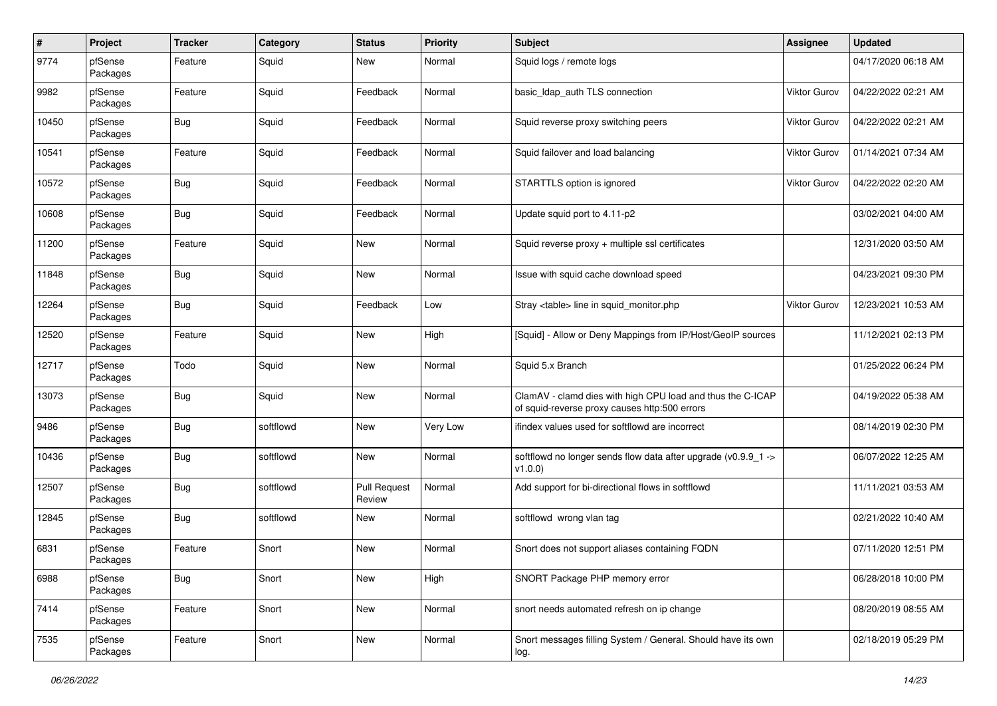| $\pmb{\#}$ | Project             | <b>Tracker</b> | Category  | <b>Status</b>                 | <b>Priority</b> | <b>Subject</b>                                                                                              | <b>Assignee</b> | <b>Updated</b>      |
|------------|---------------------|----------------|-----------|-------------------------------|-----------------|-------------------------------------------------------------------------------------------------------------|-----------------|---------------------|
| 9774       | pfSense<br>Packages | Feature        | Squid     | New                           | Normal          | Squid logs / remote logs                                                                                    |                 | 04/17/2020 06:18 AM |
| 9982       | pfSense<br>Packages | Feature        | Squid     | Feedback                      | Normal          | basic_Idap_auth TLS connection                                                                              | Viktor Gurov    | 04/22/2022 02:21 AM |
| 10450      | pfSense<br>Packages | <b>Bug</b>     | Squid     | Feedback                      | Normal          | Squid reverse proxy switching peers                                                                         | Viktor Gurov    | 04/22/2022 02:21 AM |
| 10541      | pfSense<br>Packages | Feature        | Squid     | Feedback                      | Normal          | Squid failover and load balancing                                                                           | Viktor Gurov    | 01/14/2021 07:34 AM |
| 10572      | pfSense<br>Packages | <b>Bug</b>     | Squid     | Feedback                      | Normal          | STARTTLS option is ignored                                                                                  | Viktor Gurov    | 04/22/2022 02:20 AM |
| 10608      | pfSense<br>Packages | <b>Bug</b>     | Squid     | Feedback                      | Normal          | Update squid port to 4.11-p2                                                                                |                 | 03/02/2021 04:00 AM |
| 11200      | pfSense<br>Packages | Feature        | Squid     | <b>New</b>                    | Normal          | Squid reverse proxy + multiple ssl certificates                                                             |                 | 12/31/2020 03:50 AM |
| 11848      | pfSense<br>Packages | <b>Bug</b>     | Squid     | New                           | Normal          | Issue with squid cache download speed                                                                       |                 | 04/23/2021 09:30 PM |
| 12264      | pfSense<br>Packages | <b>Bug</b>     | Squid     | Feedback                      | Low             | Stray <table> line in squid_monitor.php</table>                                                             | Viktor Gurov    | 12/23/2021 10:53 AM |
| 12520      | pfSense<br>Packages | Feature        | Squid     | <b>New</b>                    | High            | [Squid] - Allow or Deny Mappings from IP/Host/GeoIP sources                                                 |                 | 11/12/2021 02:13 PM |
| 12717      | pfSense<br>Packages | Todo           | Squid     | <b>New</b>                    | Normal          | Squid 5.x Branch                                                                                            |                 | 01/25/2022 06:24 PM |
| 13073      | pfSense<br>Packages | <b>Bug</b>     | Squid     | <b>New</b>                    | Normal          | ClamAV - clamd dies with high CPU load and thus the C-ICAP<br>of squid-reverse proxy causes http:500 errors |                 | 04/19/2022 05:38 AM |
| 9486       | pfSense<br>Packages | <b>Bug</b>     | softflowd | <b>New</b>                    | Very Low        | ifindex values used for softflowd are incorrect                                                             |                 | 08/14/2019 02:30 PM |
| 10436      | pfSense<br>Packages | <b>Bug</b>     | softflowd | <b>New</b>                    | Normal          | softflowd no longer sends flow data after upgrade (v0.9.9_1 -><br>v1.0.0                                    |                 | 06/07/2022 12:25 AM |
| 12507      | pfSense<br>Packages | <b>Bug</b>     | softflowd | <b>Pull Request</b><br>Review | Normal          | Add support for bi-directional flows in softflowd                                                           |                 | 11/11/2021 03:53 AM |
| 12845      | pfSense<br>Packages | <b>Bug</b>     | softflowd | <b>New</b>                    | Normal          | softflowd wrong vlan tag                                                                                    |                 | 02/21/2022 10:40 AM |
| 6831       | pfSense<br>Packages | Feature        | Snort     | <b>New</b>                    | Normal          | Snort does not support aliases containing FQDN                                                              |                 | 07/11/2020 12:51 PM |
| 6988       | pfSense<br>Packages | Bug            | Snort     | New                           | High            | SNORT Package PHP memory error                                                                              |                 | 06/28/2018 10:00 PM |
| 7414       | pfSense<br>Packages | Feature        | Snort     | New                           | Normal          | snort needs automated refresh on ip change                                                                  |                 | 08/20/2019 08:55 AM |
| 7535       | pfSense<br>Packages | Feature        | Snort     | New                           | Normal          | Snort messages filling System / General. Should have its own<br>log.                                        |                 | 02/18/2019 05:29 PM |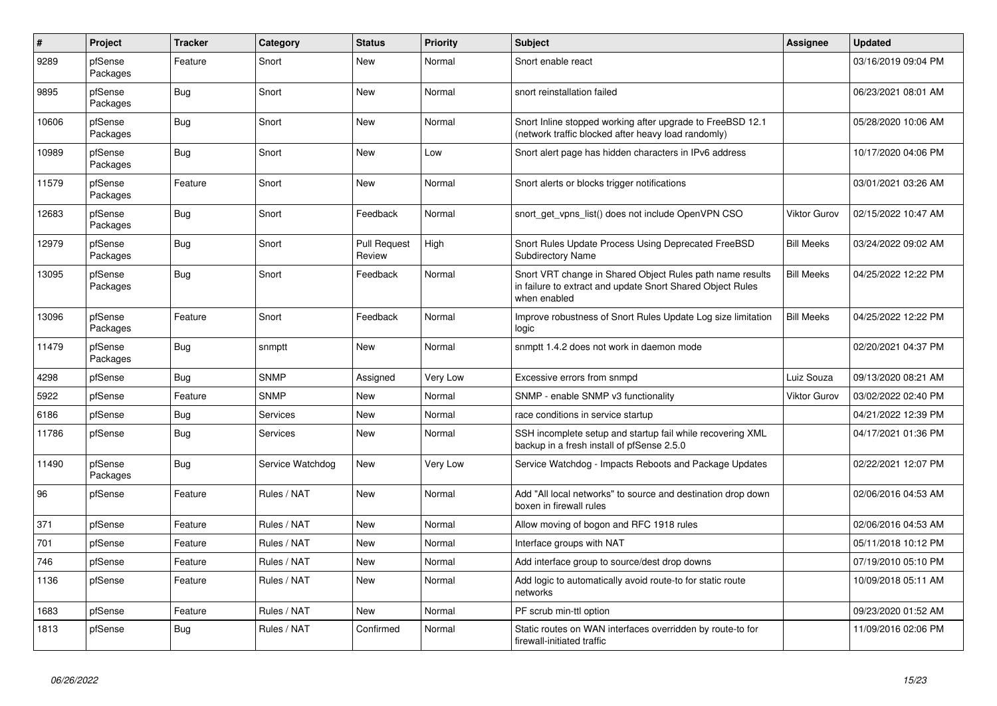| $\vert$ # | Project             | <b>Tracker</b> | Category         | <b>Status</b>                 | <b>Priority</b> | <b>Subject</b>                                                                                                                          | Assignee            | <b>Updated</b>      |
|-----------|---------------------|----------------|------------------|-------------------------------|-----------------|-----------------------------------------------------------------------------------------------------------------------------------------|---------------------|---------------------|
| 9289      | pfSense<br>Packages | Feature        | Snort            | <b>New</b>                    | Normal          | Snort enable react                                                                                                                      |                     | 03/16/2019 09:04 PM |
| 9895      | pfSense<br>Packages | Bug            | Snort            | <b>New</b>                    | Normal          | snort reinstallation failed                                                                                                             |                     | 06/23/2021 08:01 AM |
| 10606     | pfSense<br>Packages | Bug            | Snort            | <b>New</b>                    | Normal          | Snort Inline stopped working after upgrade to FreeBSD 12.1<br>(network traffic blocked after heavy load randomly)                       |                     | 05/28/2020 10:06 AM |
| 10989     | pfSense<br>Packages | <b>Bug</b>     | Snort            | <b>New</b>                    | Low             | Snort alert page has hidden characters in IPv6 address                                                                                  |                     | 10/17/2020 04:06 PM |
| 11579     | pfSense<br>Packages | Feature        | Snort            | <b>New</b>                    | Normal          | Snort alerts or blocks trigger notifications                                                                                            |                     | 03/01/2021 03:26 AM |
| 12683     | pfSense<br>Packages | Bug            | Snort            | Feedback                      | Normal          | snort get vpns list() does not include OpenVPN CSO                                                                                      | <b>Viktor Gurov</b> | 02/15/2022 10:47 AM |
| 12979     | pfSense<br>Packages | Bug            | Snort            | <b>Pull Request</b><br>Review | High            | Snort Rules Update Process Using Deprecated FreeBSD<br><b>Subdirectory Name</b>                                                         | <b>Bill Meeks</b>   | 03/24/2022 09:02 AM |
| 13095     | pfSense<br>Packages | Bug            | Snort            | Feedback                      | Normal          | Snort VRT change in Shared Object Rules path name results<br>in failure to extract and update Snort Shared Object Rules<br>when enabled | <b>Bill Meeks</b>   | 04/25/2022 12:22 PM |
| 13096     | pfSense<br>Packages | Feature        | Snort            | Feedback                      | Normal          | Improve robustness of Snort Rules Update Log size limitation<br>logic                                                                   | <b>Bill Meeks</b>   | 04/25/2022 12:22 PM |
| 11479     | pfSense<br>Packages | Bug            | snmptt           | <b>New</b>                    | Normal          | snmptt 1.4.2 does not work in daemon mode                                                                                               |                     | 02/20/2021 04:37 PM |
| 4298      | pfSense             | Bug            | <b>SNMP</b>      | Assigned                      | Very Low        | Excessive errors from snmpd                                                                                                             | Luiz Souza          | 09/13/2020 08:21 AM |
| 5922      | pfSense             | Feature        | <b>SNMP</b>      | <b>New</b>                    | Normal          | SNMP - enable SNMP v3 functionality                                                                                                     | Viktor Gurov        | 03/02/2022 02:40 PM |
| 6186      | pfSense             | <b>Bug</b>     | <b>Services</b>  | New                           | Normal          | race conditions in service startup                                                                                                      |                     | 04/21/2022 12:39 PM |
| 11786     | pfSense             | Bug            | Services         | <b>New</b>                    | Normal          | SSH incomplete setup and startup fail while recovering XML<br>backup in a fresh install of pfSense 2.5.0                                |                     | 04/17/2021 01:36 PM |
| 11490     | pfSense<br>Packages | Bug            | Service Watchdog | New                           | Very Low        | Service Watchdog - Impacts Reboots and Package Updates                                                                                  |                     | 02/22/2021 12:07 PM |
| 96        | pfSense             | Feature        | Rules / NAT      | <b>New</b>                    | Normal          | Add "All local networks" to source and destination drop down<br>boxen in firewall rules                                                 |                     | 02/06/2016 04:53 AM |
| 371       | pfSense             | Feature        | Rules / NAT      | <b>New</b>                    | Normal          | Allow moving of bogon and RFC 1918 rules                                                                                                |                     | 02/06/2016 04:53 AM |
| 701       | pfSense             | Feature        | Rules / NAT      | <b>New</b>                    | Normal          | Interface groups with NAT                                                                                                               |                     | 05/11/2018 10:12 PM |
| 746       | pfSense             | Feature        | Rules / NAT      | New                           | Normal          | Add interface group to source/dest drop downs                                                                                           |                     | 07/19/2010 05:10 PM |
| 1136      | pfSense             | Feature        | Rules / NAT      | <b>New</b>                    | Normal          | Add logic to automatically avoid route-to for static route<br>networks                                                                  |                     | 10/09/2018 05:11 AM |
| 1683      | pfSense             | Feature        | Rules / NAT      | <b>New</b>                    | Normal          | PF scrub min-ttl option                                                                                                                 |                     | 09/23/2020 01:52 AM |
| 1813      | pfSense             | Bug            | Rules / NAT      | Confirmed                     | Normal          | Static routes on WAN interfaces overridden by route-to for<br>firewall-initiated traffic                                                |                     | 11/09/2016 02:06 PM |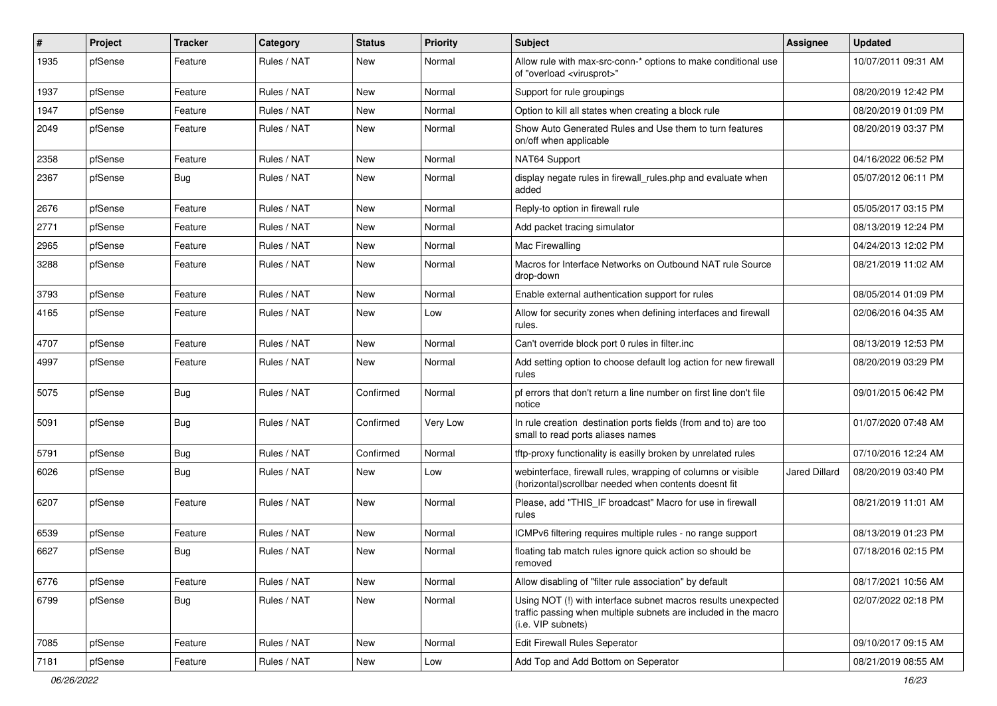| #    | Project | <b>Tracker</b> | Category    | <b>Status</b> | <b>Priority</b> | Subject                                                                                                                                                | Assignee             | <b>Updated</b>      |
|------|---------|----------------|-------------|---------------|-----------------|--------------------------------------------------------------------------------------------------------------------------------------------------------|----------------------|---------------------|
| 1935 | pfSense | Feature        | Rules / NAT | New           | Normal          | Allow rule with max-src-conn-* options to make conditional use<br>of "overload <virusprot>"</virusprot>                                                |                      | 10/07/2011 09:31 AM |
| 1937 | pfSense | Feature        | Rules / NAT | New           | Normal          | Support for rule groupings                                                                                                                             |                      | 08/20/2019 12:42 PM |
| 1947 | pfSense | Feature        | Rules / NAT | New           | Normal          | Option to kill all states when creating a block rule                                                                                                   |                      | 08/20/2019 01:09 PM |
| 2049 | pfSense | Feature        | Rules / NAT | <b>New</b>    | Normal          | Show Auto Generated Rules and Use them to turn features<br>on/off when applicable                                                                      |                      | 08/20/2019 03:37 PM |
| 2358 | pfSense | Feature        | Rules / NAT | <b>New</b>    | Normal          | NAT64 Support                                                                                                                                          |                      | 04/16/2022 06:52 PM |
| 2367 | pfSense | Bug            | Rules / NAT | New           | Normal          | display negate rules in firewall rules php and evaluate when<br>added                                                                                  |                      | 05/07/2012 06:11 PM |
| 2676 | pfSense | Feature        | Rules / NAT | <b>New</b>    | Normal          | Reply-to option in firewall rule                                                                                                                       |                      | 05/05/2017 03:15 PM |
| 2771 | pfSense | Feature        | Rules / NAT | New           | Normal          | Add packet tracing simulator                                                                                                                           |                      | 08/13/2019 12:24 PM |
| 2965 | pfSense | Feature        | Rules / NAT | New           | Normal          | Mac Firewalling                                                                                                                                        |                      | 04/24/2013 12:02 PM |
| 3288 | pfSense | Feature        | Rules / NAT | <b>New</b>    | Normal          | Macros for Interface Networks on Outbound NAT rule Source<br>drop-down                                                                                 |                      | 08/21/2019 11:02 AM |
| 3793 | pfSense | Feature        | Rules / NAT | <b>New</b>    | Normal          | Enable external authentication support for rules                                                                                                       |                      | 08/05/2014 01:09 PM |
| 4165 | pfSense | Feature        | Rules / NAT | New           | Low             | Allow for security zones when defining interfaces and firewall<br>rules.                                                                               |                      | 02/06/2016 04:35 AM |
| 4707 | pfSense | Feature        | Rules / NAT | New           | Normal          | Can't override block port 0 rules in filter.inc                                                                                                        |                      | 08/13/2019 12:53 PM |
| 4997 | pfSense | Feature        | Rules / NAT | New           | Normal          | Add setting option to choose default log action for new firewall<br>rules                                                                              |                      | 08/20/2019 03:29 PM |
| 5075 | pfSense | Bug            | Rules / NAT | Confirmed     | Normal          | pf errors that don't return a line number on first line don't file<br>notice                                                                           |                      | 09/01/2015 06:42 PM |
| 5091 | pfSense | Bug            | Rules / NAT | Confirmed     | Very Low        | In rule creation destination ports fields (from and to) are too<br>small to read ports aliases names                                                   |                      | 01/07/2020 07:48 AM |
| 5791 | pfSense | Bug            | Rules / NAT | Confirmed     | Normal          | tftp-proxy functionality is easilly broken by unrelated rules                                                                                          |                      | 07/10/2016 12:24 AM |
| 6026 | pfSense | Bug            | Rules / NAT | New           | Low             | webinterface, firewall rules, wrapping of columns or visible<br>(horizontal) scrollbar needed when contents doesnt fit                                 | <b>Jared Dillard</b> | 08/20/2019 03:40 PM |
| 6207 | pfSense | Feature        | Rules / NAT | New           | Normal          | Please, add "THIS IF broadcast" Macro for use in firewall<br>rules                                                                                     |                      | 08/21/2019 11:01 AM |
| 6539 | pfSense | Feature        | Rules / NAT | <b>New</b>    | Normal          | ICMPv6 filtering requires multiple rules - no range support                                                                                            |                      | 08/13/2019 01:23 PM |
| 6627 | pfSense | Bug            | Rules / NAT | New           | Normal          | floating tab match rules ignore quick action so should be<br>removed                                                                                   |                      | 07/18/2016 02:15 PM |
| 6776 | pfSense | Feature        | Rules / NAT | New           | Normal          | Allow disabling of "filter rule association" by default                                                                                                |                      | 08/17/2021 10:56 AM |
| 6799 | pfSense | <b>Bug</b>     | Rules / NAT | New           | Normal          | Using NOT (!) with interface subnet macros results unexpected<br>traffic passing when multiple subnets are included in the macro<br>(i.e. VIP subnets) |                      | 02/07/2022 02:18 PM |
| 7085 | pfSense | Feature        | Rules / NAT | New           | Normal          | <b>Edit Firewall Rules Seperator</b>                                                                                                                   |                      | 09/10/2017 09:15 AM |
| 7181 | pfSense | Feature        | Rules / NAT | New           | Low             | Add Top and Add Bottom on Seperator                                                                                                                    |                      | 08/21/2019 08:55 AM |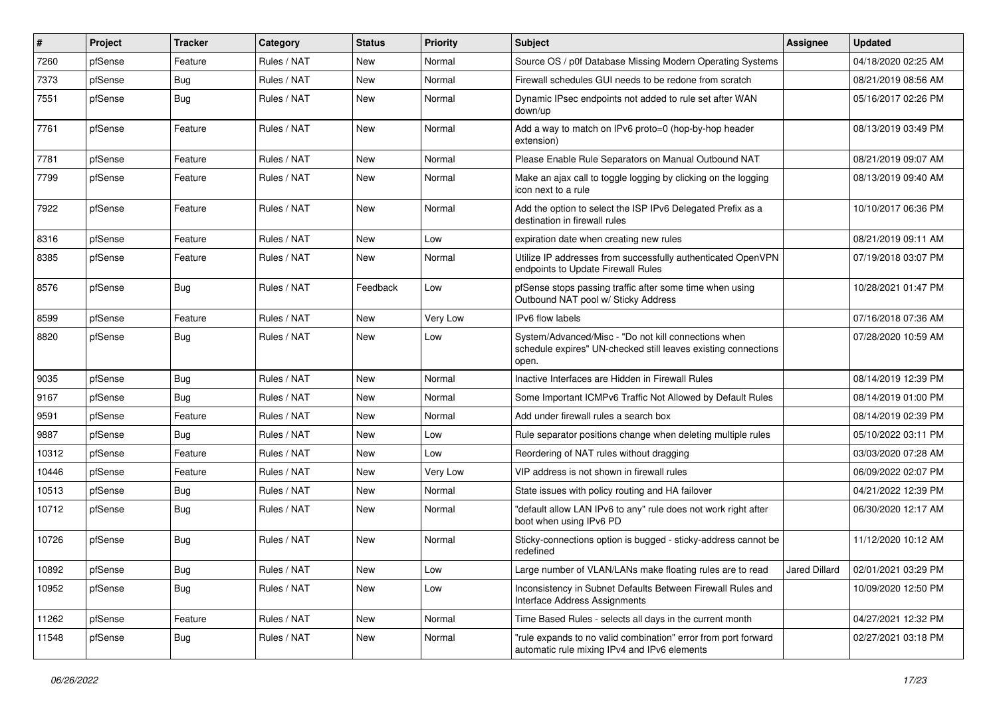| $\vert$ # | Project | <b>Tracker</b> | Category    | <b>Status</b> | <b>Priority</b> | <b>Subject</b>                                                                                                                  | <b>Assignee</b> | Updated             |
|-----------|---------|----------------|-------------|---------------|-----------------|---------------------------------------------------------------------------------------------------------------------------------|-----------------|---------------------|
| 7260      | pfSense | Feature        | Rules / NAT | New           | Normal          | Source OS / p0f Database Missing Modern Operating Systems                                                                       |                 | 04/18/2020 02:25 AM |
| 7373      | pfSense | Bug            | Rules / NAT | <b>New</b>    | Normal          | Firewall schedules GUI needs to be redone from scratch                                                                          |                 | 08/21/2019 08:56 AM |
| 7551      | pfSense | Bug            | Rules / NAT | New           | Normal          | Dynamic IPsec endpoints not added to rule set after WAN<br>down/up                                                              |                 | 05/16/2017 02:26 PM |
| 7761      | pfSense | Feature        | Rules / NAT | <b>New</b>    | Normal          | Add a way to match on IPv6 proto=0 (hop-by-hop header<br>extension)                                                             |                 | 08/13/2019 03:49 PM |
| 7781      | pfSense | Feature        | Rules / NAT | New           | Normal          | Please Enable Rule Separators on Manual Outbound NAT                                                                            |                 | 08/21/2019 09:07 AM |
| 7799      | pfSense | Feature        | Rules / NAT | New           | Normal          | Make an ajax call to toggle logging by clicking on the logging<br>icon next to a rule                                           |                 | 08/13/2019 09:40 AM |
| 7922      | pfSense | Feature        | Rules / NAT | <b>New</b>    | Normal          | Add the option to select the ISP IPv6 Delegated Prefix as a<br>destination in firewall rules                                    |                 | 10/10/2017 06:36 PM |
| 8316      | pfSense | Feature        | Rules / NAT | <b>New</b>    | Low             | expiration date when creating new rules                                                                                         |                 | 08/21/2019 09:11 AM |
| 8385      | pfSense | Feature        | Rules / NAT | New           | Normal          | Utilize IP addresses from successfully authenticated OpenVPN<br>endpoints to Update Firewall Rules                              |                 | 07/19/2018 03:07 PM |
| 8576      | pfSense | Bug            | Rules / NAT | Feedback      | Low             | pfSense stops passing traffic after some time when using<br>Outbound NAT pool w/ Sticky Address                                 |                 | 10/28/2021 01:47 PM |
| 8599      | pfSense | Feature        | Rules / NAT | New           | Very Low        | <b>IPv6</b> flow labels                                                                                                         |                 | 07/16/2018 07:36 AM |
| 8820      | pfSense | Bug            | Rules / NAT | New           | Low             | System/Advanced/Misc - "Do not kill connections when<br>schedule expires" UN-checked still leaves existing connections<br>open. |                 | 07/28/2020 10:59 AM |
| 9035      | pfSense | Bug            | Rules / NAT | <b>New</b>    | Normal          | Inactive Interfaces are Hidden in Firewall Rules                                                                                |                 | 08/14/2019 12:39 PM |
| 9167      | pfSense | Bug            | Rules / NAT | New           | Normal          | Some Important ICMPv6 Traffic Not Allowed by Default Rules                                                                      |                 | 08/14/2019 01:00 PM |
| 9591      | pfSense | Feature        | Rules / NAT | New           | Normal          | Add under firewall rules a search box                                                                                           |                 | 08/14/2019 02:39 PM |
| 9887      | pfSense | Bug            | Rules / NAT | New           | Low             | Rule separator positions change when deleting multiple rules                                                                    |                 | 05/10/2022 03:11 PM |
| 10312     | pfSense | Feature        | Rules / NAT | New           | Low             | Reordering of NAT rules without dragging                                                                                        |                 | 03/03/2020 07:28 AM |
| 10446     | pfSense | Feature        | Rules / NAT | New           | Very Low        | VIP address is not shown in firewall rules                                                                                      |                 | 06/09/2022 02:07 PM |
| 10513     | pfSense | Bug            | Rules / NAT | New           | Normal          | State issues with policy routing and HA failover                                                                                |                 | 04/21/2022 12:39 PM |
| 10712     | pfSense | Bug            | Rules / NAT | New           | Normal          | "default allow LAN IPv6 to any" rule does not work right after<br>boot when using IPv6 PD                                       |                 | 06/30/2020 12:17 AM |
| 10726     | pfSense | Bug            | Rules / NAT | New           | Normal          | Sticky-connections option is bugged - sticky-address cannot be<br>redefined                                                     |                 | 11/12/2020 10:12 AM |
| 10892     | pfSense | <b>Bug</b>     | Rules / NAT | New           | Low             | Large number of VLAN/LANs make floating rules are to read                                                                       | Jared Dillard   | 02/01/2021 03:29 PM |
| 10952     | pfSense | <b>Bug</b>     | Rules / NAT | New           | Low             | Inconsistency in Subnet Defaults Between Firewall Rules and<br>Interface Address Assignments                                    |                 | 10/09/2020 12:50 PM |
| 11262     | pfSense | Feature        | Rules / NAT | New           | Normal          | Time Based Rules - selects all days in the current month                                                                        |                 | 04/27/2021 12:32 PM |
| 11548     | pfSense | <b>Bug</b>     | Rules / NAT | New           | Normal          | "rule expands to no valid combination" error from port forward<br>automatic rule mixing IPv4 and IPv6 elements                  |                 | 02/27/2021 03:18 PM |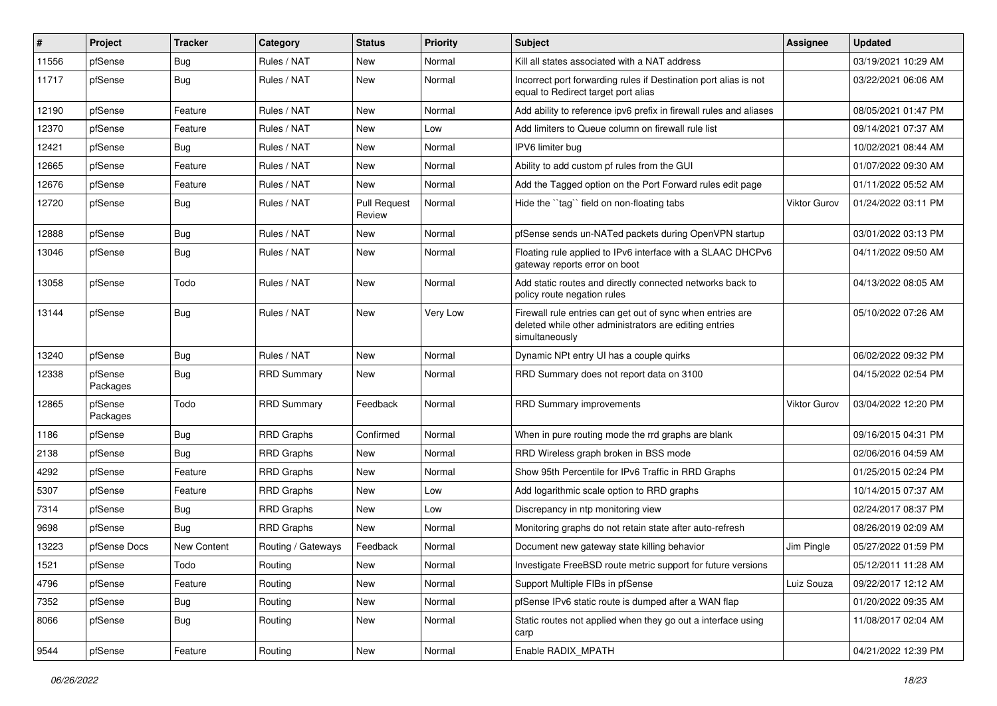| #     | Project             | <b>Tracker</b> | Category           | <b>Status</b>                 | <b>Priority</b> | <b>Subject</b>                                                                                                                         | <b>Assignee</b>     | <b>Updated</b>      |
|-------|---------------------|----------------|--------------------|-------------------------------|-----------------|----------------------------------------------------------------------------------------------------------------------------------------|---------------------|---------------------|
| 11556 | pfSense             | Bug            | Rules / NAT        | New                           | Normal          | Kill all states associated with a NAT address                                                                                          |                     | 03/19/2021 10:29 AM |
| 11717 | pfSense             | Bug            | Rules / NAT        | New                           | Normal          | Incorrect port forwarding rules if Destination port alias is not<br>equal to Redirect target port alias                                |                     | 03/22/2021 06:06 AM |
| 12190 | pfSense             | Feature        | Rules / NAT        | New                           | Normal          | Add ability to reference ipv6 prefix in firewall rules and aliases                                                                     |                     | 08/05/2021 01:47 PM |
| 12370 | pfSense             | Feature        | Rules / NAT        | New                           | Low             | Add limiters to Queue column on firewall rule list                                                                                     |                     | 09/14/2021 07:37 AM |
| 12421 | pfSense             | Bug            | Rules / NAT        | New                           | Normal          | IPV6 limiter bug                                                                                                                       |                     | 10/02/2021 08:44 AM |
| 12665 | pfSense             | Feature        | Rules / NAT        | New                           | Normal          | Ability to add custom pf rules from the GUI                                                                                            |                     | 01/07/2022 09:30 AM |
| 12676 | pfSense             | Feature        | Rules / NAT        | New                           | Normal          | Add the Tagged option on the Port Forward rules edit page                                                                              |                     | 01/11/2022 05:52 AM |
| 12720 | pfSense             | Bug            | Rules / NAT        | <b>Pull Request</b><br>Review | Normal          | Hide the "tag" field on non-floating tabs                                                                                              | <b>Viktor Gurov</b> | 01/24/2022 03:11 PM |
| 12888 | pfSense             | Bug            | Rules / NAT        | New                           | Normal          | pfSense sends un-NATed packets during OpenVPN startup                                                                                  |                     | 03/01/2022 03:13 PM |
| 13046 | pfSense             | Bug            | Rules / NAT        | New                           | Normal          | Floating rule applied to IPv6 interface with a SLAAC DHCPv6<br>gateway reports error on boot                                           |                     | 04/11/2022 09:50 AM |
| 13058 | pfSense             | Todo           | Rules / NAT        | New                           | Normal          | Add static routes and directly connected networks back to<br>policy route negation rules                                               |                     | 04/13/2022 08:05 AM |
| 13144 | pfSense             | Bug            | Rules / NAT        | <b>New</b>                    | Very Low        | Firewall rule entries can get out of sync when entries are<br>deleted while other administrators are editing entries<br>simultaneously |                     | 05/10/2022 07:26 AM |
| 13240 | pfSense             | Bug            | Rules / NAT        | New                           | Normal          | Dynamic NPt entry UI has a couple quirks                                                                                               |                     | 06/02/2022 09:32 PM |
| 12338 | pfSense<br>Packages | Bug            | <b>RRD Summary</b> | New                           | Normal          | RRD Summary does not report data on 3100                                                                                               |                     | 04/15/2022 02:54 PM |
| 12865 | pfSense<br>Packages | Todo           | <b>RRD Summary</b> | Feedback                      | Normal          | RRD Summary improvements                                                                                                               | Viktor Gurov        | 03/04/2022 12:20 PM |
| 1186  | pfSense             | Bug            | <b>RRD Graphs</b>  | Confirmed                     | Normal          | When in pure routing mode the rrd graphs are blank                                                                                     |                     | 09/16/2015 04:31 PM |
| 2138  | pfSense             | Bug            | <b>RRD Graphs</b>  | New                           | Normal          | RRD Wireless graph broken in BSS mode                                                                                                  |                     | 02/06/2016 04:59 AM |
| 4292  | pfSense             | Feature        | <b>RRD Graphs</b>  | New                           | Normal          | Show 95th Percentile for IPv6 Traffic in RRD Graphs                                                                                    |                     | 01/25/2015 02:24 PM |
| 5307  | pfSense             | Feature        | <b>RRD Graphs</b>  | New                           | Low             | Add logarithmic scale option to RRD graphs                                                                                             |                     | 10/14/2015 07:37 AM |
| 7314  | pfSense             | Bug            | <b>RRD Graphs</b>  | New                           | Low             | Discrepancy in ntp monitoring view                                                                                                     |                     | 02/24/2017 08:37 PM |
| 9698  | pfSense             | Bug            | <b>RRD Graphs</b>  | New                           | Normal          | Monitoring graphs do not retain state after auto-refresh                                                                               |                     | 08/26/2019 02:09 AM |
| 13223 | pfSense Docs        | New Content    | Routing / Gateways | Feedback                      | Normal          | Document new gateway state killing behavior                                                                                            | Jim Pingle          | 05/27/2022 01:59 PM |
| 1521  | pfSense             | Todo           | Routing            | New                           | Normal          | Investigate FreeBSD route metric support for future versions                                                                           |                     | 05/12/2011 11:28 AM |
| 4796  | pfSense             | Feature        | Routing            | New                           | Normal          | Support Multiple FIBs in pfSense                                                                                                       | Luiz Souza          | 09/22/2017 12:12 AM |
| 7352  | pfSense             | Bug            | Routing            | New                           | Normal          | pfSense IPv6 static route is dumped after a WAN flap                                                                                   |                     | 01/20/2022 09:35 AM |
| 8066  | pfSense             | <b>Bug</b>     | Routing            | New                           | Normal          | Static routes not applied when they go out a interface using<br>carp                                                                   |                     | 11/08/2017 02:04 AM |
| 9544  | pfSense             | Feature        | Routing            | New                           | Normal          | Enable RADIX_MPATH                                                                                                                     |                     | 04/21/2022 12:39 PM |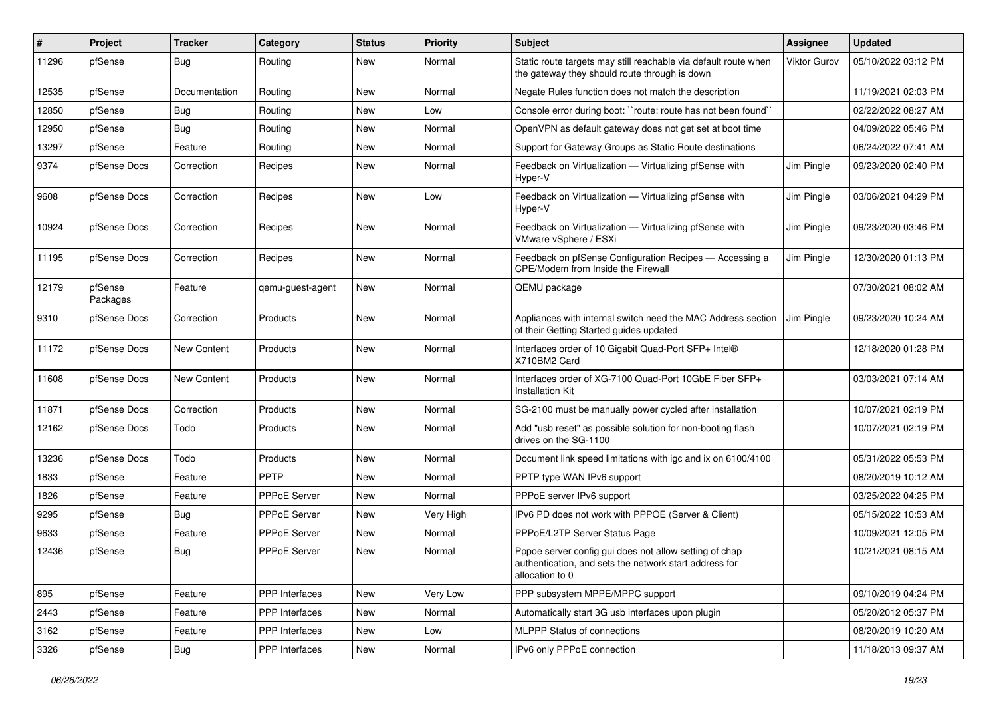| ∦     | Project             | <b>Tracker</b> | Category              | <b>Status</b> | <b>Priority</b> | Subject                                                                                                                             | <b>Assignee</b> | <b>Updated</b>      |
|-------|---------------------|----------------|-----------------------|---------------|-----------------|-------------------------------------------------------------------------------------------------------------------------------------|-----------------|---------------------|
| 11296 | pfSense             | Bug            | Routing               | New           | Normal          | Static route targets may still reachable via default route when<br>the gateway they should route through is down                    | Viktor Gurov    | 05/10/2022 03:12 PM |
| 12535 | pfSense             | Documentation  | Routing               | New           | Normal          | Negate Rules function does not match the description                                                                                |                 | 11/19/2021 02:03 PM |
| 12850 | pfSense             | Bug            | Routing               | New           | Low             | Console error during boot: "route: route has not been found"                                                                        |                 | 02/22/2022 08:27 AM |
| 12950 | pfSense             | Bug            | Routing               | New           | Normal          | OpenVPN as default gateway does not get set at boot time                                                                            |                 | 04/09/2022 05:46 PM |
| 13297 | pfSense             | Feature        | Routing               | New           | Normal          | Support for Gateway Groups as Static Route destinations                                                                             |                 | 06/24/2022 07:41 AM |
| 9374  | pfSense Docs        | Correction     | Recipes               | New           | Normal          | Feedback on Virtualization - Virtualizing pfSense with<br>Hyper-V                                                                   | Jim Pingle      | 09/23/2020 02:40 PM |
| 9608  | pfSense Docs        | Correction     | Recipes               | New           | Low             | Feedback on Virtualization - Virtualizing pfSense with<br>Hyper-V                                                                   | Jim Pingle      | 03/06/2021 04:29 PM |
| 10924 | pfSense Docs        | Correction     | Recipes               | New           | Normal          | Feedback on Virtualization - Virtualizing pfSense with<br>VMware vSphere / ESXi                                                     | Jim Pingle      | 09/23/2020 03:46 PM |
| 11195 | pfSense Docs        | Correction     | Recipes               | <b>New</b>    | Normal          | Feedback on pfSense Configuration Recipes - Accessing a<br>CPE/Modem from Inside the Firewall                                       | Jim Pingle      | 12/30/2020 01:13 PM |
| 12179 | pfSense<br>Packages | Feature        | qemu-guest-agent      | New           | Normal          | QEMU package                                                                                                                        |                 | 07/30/2021 08:02 AM |
| 9310  | pfSense Docs        | Correction     | Products              | New           | Normal          | Appliances with internal switch need the MAC Address section<br>of their Getting Started guides updated                             | Jim Pingle      | 09/23/2020 10:24 AM |
| 11172 | pfSense Docs        | New Content    | Products              | New           | Normal          | Interfaces order of 10 Gigabit Quad-Port SFP+ Intel®<br>X710BM2 Card                                                                |                 | 12/18/2020 01:28 PM |
| 11608 | pfSense Docs        | New Content    | Products              | <b>New</b>    | Normal          | Interfaces order of XG-7100 Quad-Port 10GbE Fiber SFP+<br><b>Installation Kit</b>                                                   |                 | 03/03/2021 07:14 AM |
| 11871 | pfSense Docs        | Correction     | Products              | <b>New</b>    | Normal          | SG-2100 must be manually power cycled after installation                                                                            |                 | 10/07/2021 02:19 PM |
| 12162 | pfSense Docs        | Todo           | Products              | New           | Normal          | Add "usb reset" as possible solution for non-booting flash<br>drives on the SG-1100                                                 |                 | 10/07/2021 02:19 PM |
| 13236 | pfSense Docs        | Todo           | Products              | New           | Normal          | Document link speed limitations with igc and ix on 6100/4100                                                                        |                 | 05/31/2022 05:53 PM |
| 1833  | pfSense             | Feature        | PPTP                  | <b>New</b>    | Normal          | PPTP type WAN IPv6 support                                                                                                          |                 | 08/20/2019 10:12 AM |
| 1826  | pfSense             | Feature        | PPPoE Server          | New           | Normal          | PPPoE server IPv6 support                                                                                                           |                 | 03/25/2022 04:25 PM |
| 9295  | pfSense             | Bug            | <b>PPPoE Server</b>   | New           | Very High       | IPv6 PD does not work with PPPOE (Server & Client)                                                                                  |                 | 05/15/2022 10:53 AM |
| 9633  | pfSense             | Feature        | <b>PPPoE Server</b>   | New           | Normal          | PPPoE/L2TP Server Status Page                                                                                                       |                 | 10/09/2021 12:05 PM |
| 12436 | pfSense             | Bug            | PPPoE Server          | New           | Normal          | Pppoe server config gui does not allow setting of chap<br>authentication, and sets the network start address for<br>allocation to 0 |                 | 10/21/2021 08:15 AM |
| 895   | pfSense             | Feature        | PPP Interfaces        | New           | Very Low        | PPP subsystem MPPE/MPPC support                                                                                                     |                 | 09/10/2019 04:24 PM |
| 2443  | pfSense             | Feature        | PPP Interfaces        | New           | Normal          | Automatically start 3G usb interfaces upon plugin                                                                                   |                 | 05/20/2012 05:37 PM |
| 3162  | pfSense             | Feature        | PPP Interfaces        | New           | Low             | MLPPP Status of connections                                                                                                         |                 | 08/20/2019 10:20 AM |
| 3326  | pfSense             | Bug            | <b>PPP</b> Interfaces | New           | Normal          | IPv6 only PPPoE connection                                                                                                          |                 | 11/18/2013 09:37 AM |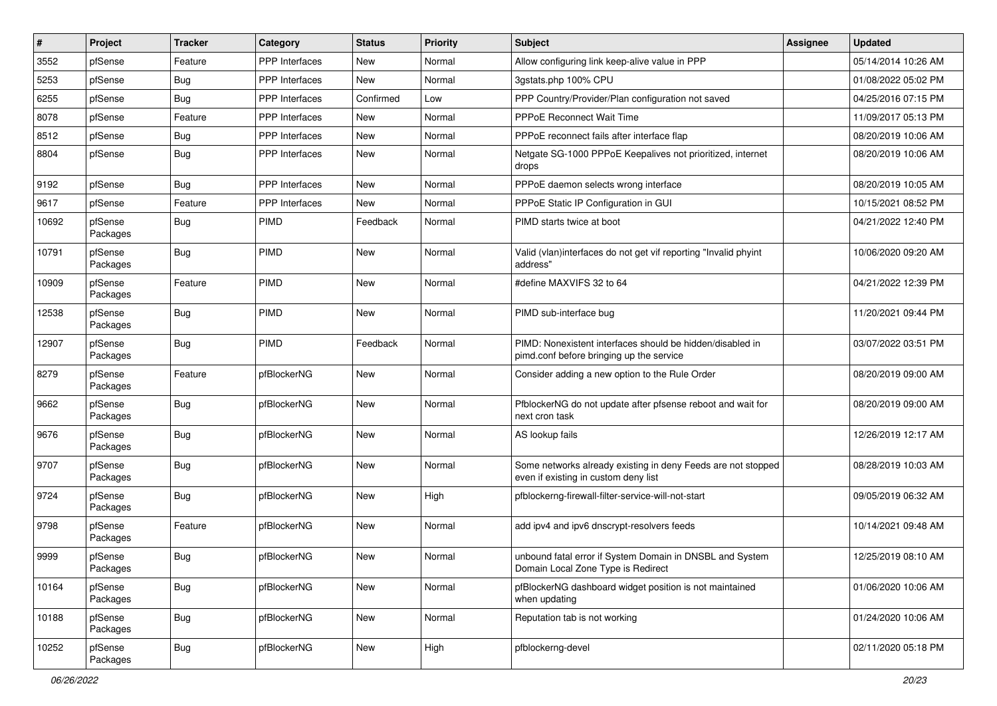| #     | Project             | <b>Tracker</b> | Category              | <b>Status</b> | <b>Priority</b> | <b>Subject</b>                                                                                        | <b>Assignee</b> | <b>Updated</b>      |
|-------|---------------------|----------------|-----------------------|---------------|-----------------|-------------------------------------------------------------------------------------------------------|-----------------|---------------------|
| 3552  | pfSense             | Feature        | PPP Interfaces        | New           | Normal          | Allow configuring link keep-alive value in PPP                                                        |                 | 05/14/2014 10:26 AM |
| 5253  | pfSense             | Bug            | <b>PPP</b> Interfaces | <b>New</b>    | Normal          | 3gstats.php 100% CPU                                                                                  |                 | 01/08/2022 05:02 PM |
| 6255  | pfSense             | Bug            | <b>PPP</b> Interfaces | Confirmed     | Low             | PPP Country/Provider/Plan configuration not saved                                                     |                 | 04/25/2016 07:15 PM |
| 8078  | pfSense             | Feature        | <b>PPP</b> Interfaces | New           | Normal          | <b>PPPoE Reconnect Wait Time</b>                                                                      |                 | 11/09/2017 05:13 PM |
| 8512  | pfSense             | Bug            | PPP Interfaces        | <b>New</b>    | Normal          | PPPoE reconnect fails after interface flap                                                            |                 | 08/20/2019 10:06 AM |
| 8804  | pfSense             | Bug            | <b>PPP</b> Interfaces | New           | Normal          | Netgate SG-1000 PPPoE Keepalives not prioritized, internet<br>drops                                   |                 | 08/20/2019 10:06 AM |
| 9192  | pfSense             | Bug            | PPP Interfaces        | <b>New</b>    | Normal          | PPPoE daemon selects wrong interface                                                                  |                 | 08/20/2019 10:05 AM |
| 9617  | pfSense             | Feature        | <b>PPP</b> Interfaces | New           | Normal          | PPPoE Static IP Configuration in GUI                                                                  |                 | 10/15/2021 08:52 PM |
| 10692 | pfSense<br>Packages | <b>Bug</b>     | <b>PIMD</b>           | Feedback      | Normal          | PIMD starts twice at boot                                                                             |                 | 04/21/2022 12:40 PM |
| 10791 | pfSense<br>Packages | Bug            | PIMD                  | <b>New</b>    | Normal          | Valid (vlan)interfaces do not get vif reporting "Invalid phyint<br>address"                           |                 | 10/06/2020 09:20 AM |
| 10909 | pfSense<br>Packages | Feature        | <b>PIMD</b>           | <b>New</b>    | Normal          | #define MAXVIFS 32 to 64                                                                              |                 | 04/21/2022 12:39 PM |
| 12538 | pfSense<br>Packages | Bug            | <b>PIMD</b>           | <b>New</b>    | Normal          | PIMD sub-interface bug                                                                                |                 | 11/20/2021 09:44 PM |
| 12907 | pfSense<br>Packages | Bug            | PIMD                  | Feedback      | Normal          | PIMD: Nonexistent interfaces should be hidden/disabled in<br>pimd.conf before bringing up the service |                 | 03/07/2022 03:51 PM |
| 8279  | pfSense<br>Packages | Feature        | pfBlockerNG           | <b>New</b>    | Normal          | Consider adding a new option to the Rule Order                                                        |                 | 08/20/2019 09:00 AM |
| 9662  | pfSense<br>Packages | Bug            | pfBlockerNG           | <b>New</b>    | Normal          | PfblockerNG do not update after pfsense reboot and wait for<br>next cron task                         |                 | 08/20/2019 09:00 AM |
| 9676  | pfSense<br>Packages | Bug            | pfBlockerNG           | <b>New</b>    | Normal          | AS lookup fails                                                                                       |                 | 12/26/2019 12:17 AM |
| 9707  | pfSense<br>Packages | Bug            | pfBlockerNG           | <b>New</b>    | Normal          | Some networks already existing in deny Feeds are not stopped<br>even if existing in custom deny list  |                 | 08/28/2019 10:03 AM |
| 9724  | pfSense<br>Packages | Bug            | pfBlockerNG           | <b>New</b>    | High            | pfblockerng-firewall-filter-service-will-not-start                                                    |                 | 09/05/2019 06:32 AM |
| 9798  | pfSense<br>Packages | Feature        | pfBlockerNG           | <b>New</b>    | Normal          | add ipv4 and ipv6 dnscrypt-resolvers feeds                                                            |                 | 10/14/2021 09:48 AM |
| 9999  | pfSense<br>Packages | Bug            | pfBlockerNG           | New           | Normal          | unbound fatal error if System Domain in DNSBL and System<br>Domain Local Zone Type is Redirect        |                 | 12/25/2019 08:10 AM |
| 10164 | pfSense<br>Packages | <b>Bug</b>     | pfBlockerNG           | New           | Normal          | pfBlockerNG dashboard widget position is not maintained<br>when updating                              |                 | 01/06/2020 10:06 AM |
| 10188 | pfSense<br>Packages | <b>Bug</b>     | pfBlockerNG           | New           | Normal          | Reputation tab is not working                                                                         |                 | 01/24/2020 10:06 AM |
| 10252 | pfSense<br>Packages | Bug            | pfBlockerNG           | New           | High            | pfblockerng-devel                                                                                     |                 | 02/11/2020 05:18 PM |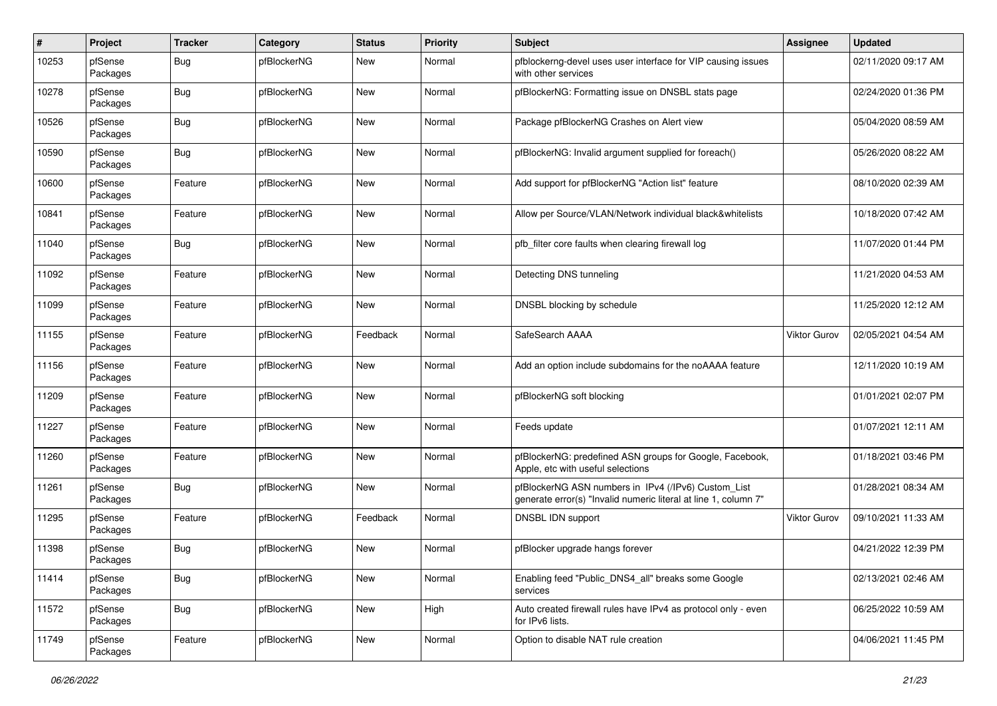| $\pmb{\#}$ | Project             | <b>Tracker</b> | Category    | <b>Status</b> | <b>Priority</b> | <b>Subject</b>                                                                                                         | <b>Assignee</b> | <b>Updated</b>      |
|------------|---------------------|----------------|-------------|---------------|-----------------|------------------------------------------------------------------------------------------------------------------------|-----------------|---------------------|
| 10253      | pfSense<br>Packages | <b>Bug</b>     | pfBlockerNG | New           | Normal          | pfblockerng-devel uses user interface for VIP causing issues<br>with other services                                    |                 | 02/11/2020 09:17 AM |
| 10278      | pfSense<br>Packages | <b>Bug</b>     | pfBlockerNG | New           | Normal          | pfBlockerNG: Formatting issue on DNSBL stats page                                                                      |                 | 02/24/2020 01:36 PM |
| 10526      | pfSense<br>Packages | <b>Bug</b>     | pfBlockerNG | <b>New</b>    | Normal          | Package pfBlockerNG Crashes on Alert view                                                                              |                 | 05/04/2020 08:59 AM |
| 10590      | pfSense<br>Packages | <b>Bug</b>     | pfBlockerNG | New           | Normal          | pfBlockerNG: Invalid argument supplied for foreach()                                                                   |                 | 05/26/2020 08:22 AM |
| 10600      | pfSense<br>Packages | Feature        | pfBlockerNG | <b>New</b>    | Normal          | Add support for pfBlockerNG "Action list" feature                                                                      |                 | 08/10/2020 02:39 AM |
| 10841      | pfSense<br>Packages | Feature        | pfBlockerNG | <b>New</b>    | Normal          | Allow per Source/VLAN/Network individual black&whitelists                                                              |                 | 10/18/2020 07:42 AM |
| 11040      | pfSense<br>Packages | <b>Bug</b>     | pfBlockerNG | <b>New</b>    | Normal          | pfb_filter core faults when clearing firewall log                                                                      |                 | 11/07/2020 01:44 PM |
| 11092      | pfSense<br>Packages | Feature        | pfBlockerNG | <b>New</b>    | Normal          | Detecting DNS tunneling                                                                                                |                 | 11/21/2020 04:53 AM |
| 11099      | pfSense<br>Packages | Feature        | pfBlockerNG | <b>New</b>    | Normal          | DNSBL blocking by schedule                                                                                             |                 | 11/25/2020 12:12 AM |
| 11155      | pfSense<br>Packages | Feature        | pfBlockerNG | Feedback      | Normal          | SafeSearch AAAA                                                                                                        | Viktor Gurov    | 02/05/2021 04:54 AM |
| 11156      | pfSense<br>Packages | Feature        | pfBlockerNG | <b>New</b>    | Normal          | Add an option include subdomains for the noAAAA feature                                                                |                 | 12/11/2020 10:19 AM |
| 11209      | pfSense<br>Packages | Feature        | pfBlockerNG | <b>New</b>    | Normal          | pfBlockerNG soft blocking                                                                                              |                 | 01/01/2021 02:07 PM |
| 11227      | pfSense<br>Packages | Feature        | pfBlockerNG | New           | Normal          | Feeds update                                                                                                           |                 | 01/07/2021 12:11 AM |
| 11260      | pfSense<br>Packages | Feature        | pfBlockerNG | <b>New</b>    | Normal          | pfBlockerNG: predefined ASN groups for Google, Facebook,<br>Apple, etc with useful selections                          |                 | 01/18/2021 03:46 PM |
| 11261      | pfSense<br>Packages | <b>Bug</b>     | pfBlockerNG | <b>New</b>    | Normal          | pfBlockerNG ASN numbers in IPv4 (/IPv6) Custom_List<br>generate error(s) "Invalid numeric literal at line 1, column 7" |                 | 01/28/2021 08:34 AM |
| 11295      | pfSense<br>Packages | Feature        | pfBlockerNG | Feedback      | Normal          | DNSBL IDN support                                                                                                      | Viktor Gurov    | 09/10/2021 11:33 AM |
| 11398      | pfSense<br>Packages | <b>Bug</b>     | pfBlockerNG | <b>New</b>    | Normal          | pfBlocker upgrade hangs forever                                                                                        |                 | 04/21/2022 12:39 PM |
| 11414      | pfSense<br>Packages | i Bug          | pfBlockerNG | New           | Normal          | Enabling feed "Public_DNS4_all" breaks some Google<br>services                                                         |                 | 02/13/2021 02:46 AM |
| 11572      | pfSense<br>Packages | Bug            | pfBlockerNG | New           | High            | Auto created firewall rules have IPv4 as protocol only - even<br>for IPv6 lists.                                       |                 | 06/25/2022 10:59 AM |
| 11749      | pfSense<br>Packages | Feature        | pfBlockerNG | New           | Normal          | Option to disable NAT rule creation                                                                                    |                 | 04/06/2021 11:45 PM |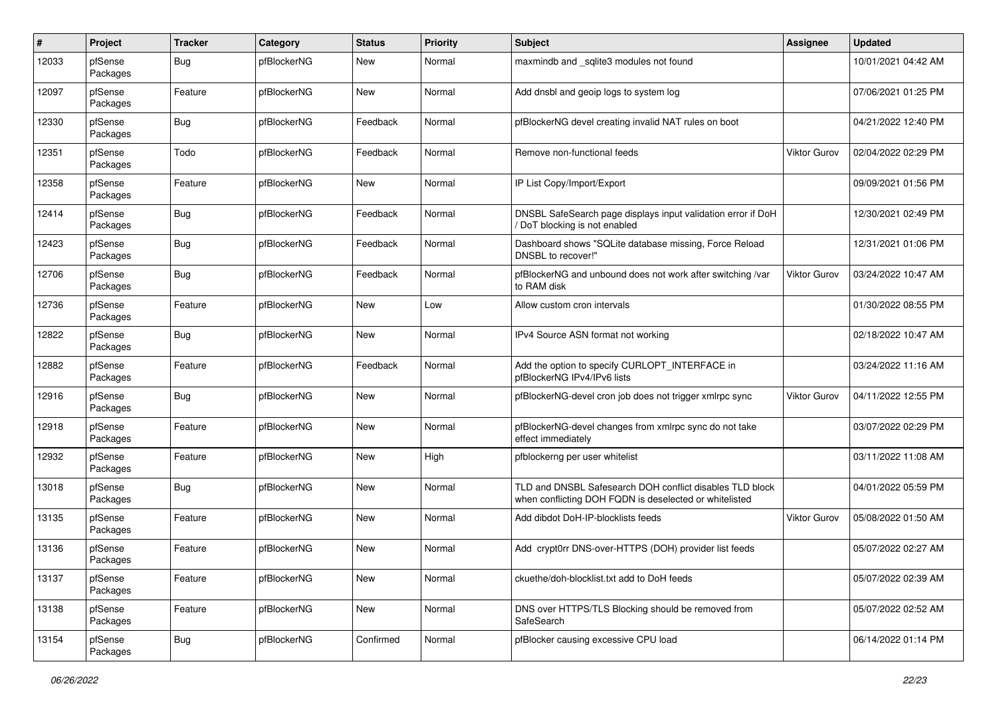| $\pmb{\#}$ | Project             | <b>Tracker</b> | Category    | <b>Status</b> | <b>Priority</b> | <b>Subject</b>                                                                                                     | Assignee            | <b>Updated</b>      |
|------------|---------------------|----------------|-------------|---------------|-----------------|--------------------------------------------------------------------------------------------------------------------|---------------------|---------------------|
| 12033      | pfSense<br>Packages | Bug            | pfBlockerNG | New           | Normal          | maxmindb and _sqlite3 modules not found                                                                            |                     | 10/01/2021 04:42 AM |
| 12097      | pfSense<br>Packages | Feature        | pfBlockerNG | New           | Normal          | Add dnsbl and geoip logs to system log                                                                             |                     | 07/06/2021 01:25 PM |
| 12330      | pfSense<br>Packages | <b>Bug</b>     | pfBlockerNG | Feedback      | Normal          | pfBlockerNG devel creating invalid NAT rules on boot                                                               |                     | 04/21/2022 12:40 PM |
| 12351      | pfSense<br>Packages | Todo           | pfBlockerNG | Feedback      | Normal          | Remove non-functional feeds                                                                                        | Viktor Gurov        | 02/04/2022 02:29 PM |
| 12358      | pfSense<br>Packages | Feature        | pfBlockerNG | <b>New</b>    | Normal          | IP List Copy/Import/Export                                                                                         |                     | 09/09/2021 01:56 PM |
| 12414      | pfSense<br>Packages | <b>Bug</b>     | pfBlockerNG | Feedback      | Normal          | DNSBL SafeSearch page displays input validation error if DoH<br>DoT blocking is not enabled                        |                     | 12/30/2021 02:49 PM |
| 12423      | pfSense<br>Packages | <b>Bug</b>     | pfBlockerNG | Feedback      | Normal          | Dashboard shows "SQLite database missing, Force Reload<br>DNSBL to recover!"                                       |                     | 12/31/2021 01:06 PM |
| 12706      | pfSense<br>Packages | <b>Bug</b>     | pfBlockerNG | Feedback      | Normal          | pfBlockerNG and unbound does not work after switching /var<br>to RAM disk                                          | <b>Viktor Gurov</b> | 03/24/2022 10:47 AM |
| 12736      | pfSense<br>Packages | Feature        | pfBlockerNG | <b>New</b>    | Low             | Allow custom cron intervals                                                                                        |                     | 01/30/2022 08:55 PM |
| 12822      | pfSense<br>Packages | <b>Bug</b>     | pfBlockerNG | <b>New</b>    | Normal          | IPv4 Source ASN format not working                                                                                 |                     | 02/18/2022 10:47 AM |
| 12882      | pfSense<br>Packages | Feature        | pfBlockerNG | Feedback      | Normal          | Add the option to specify CURLOPT_INTERFACE in<br>pfBlockerNG IPv4/IPv6 lists                                      |                     | 03/24/2022 11:16 AM |
| 12916      | pfSense<br>Packages | Bug            | pfBlockerNG | New           | Normal          | pfBlockerNG-devel cron job does not trigger xmlrpc sync                                                            | <b>Viktor Gurov</b> | 04/11/2022 12:55 PM |
| 12918      | pfSense<br>Packages | Feature        | pfBlockerNG | New           | Normal          | pfBlockerNG-devel changes from xmlrpc sync do not take<br>effect immediately                                       |                     | 03/07/2022 02:29 PM |
| 12932      | pfSense<br>Packages | Feature        | pfBlockerNG | <b>New</b>    | High            | pfblockerng per user whitelist                                                                                     |                     | 03/11/2022 11:08 AM |
| 13018      | pfSense<br>Packages | <b>Bug</b>     | pfBlockerNG | New           | Normal          | TLD and DNSBL Safesearch DOH conflict disables TLD block<br>when conflicting DOH FQDN is deselected or whitelisted |                     | 04/01/2022 05:59 PM |
| 13135      | pfSense<br>Packages | Feature        | pfBlockerNG | New           | Normal          | Add dibdot DoH-IP-blocklists feeds                                                                                 | Viktor Gurov        | 05/08/2022 01:50 AM |
| 13136      | pfSense<br>Packages | Feature        | pfBlockerNG | <b>New</b>    | Normal          | Add crypt0rr DNS-over-HTTPS (DOH) provider list feeds                                                              |                     | 05/07/2022 02:27 AM |
| 13137      | pfSense<br>Packages | Feature        | pfBlockerNG | New           | Normal          | ckuethe/doh-blocklist.txt add to DoH feeds                                                                         |                     | 05/07/2022 02:39 AM |
| 13138      | pfSense<br>Packages | Feature        | pfBlockerNG | New           | Normal          | DNS over HTTPS/TLS Blocking should be removed from<br>SafeSearch                                                   |                     | 05/07/2022 02:52 AM |
| 13154      | pfSense<br>Packages | Bug            | pfBlockerNG | Confirmed     | Normal          | pfBlocker causing excessive CPU load                                                                               |                     | 06/14/2022 01:14 PM |